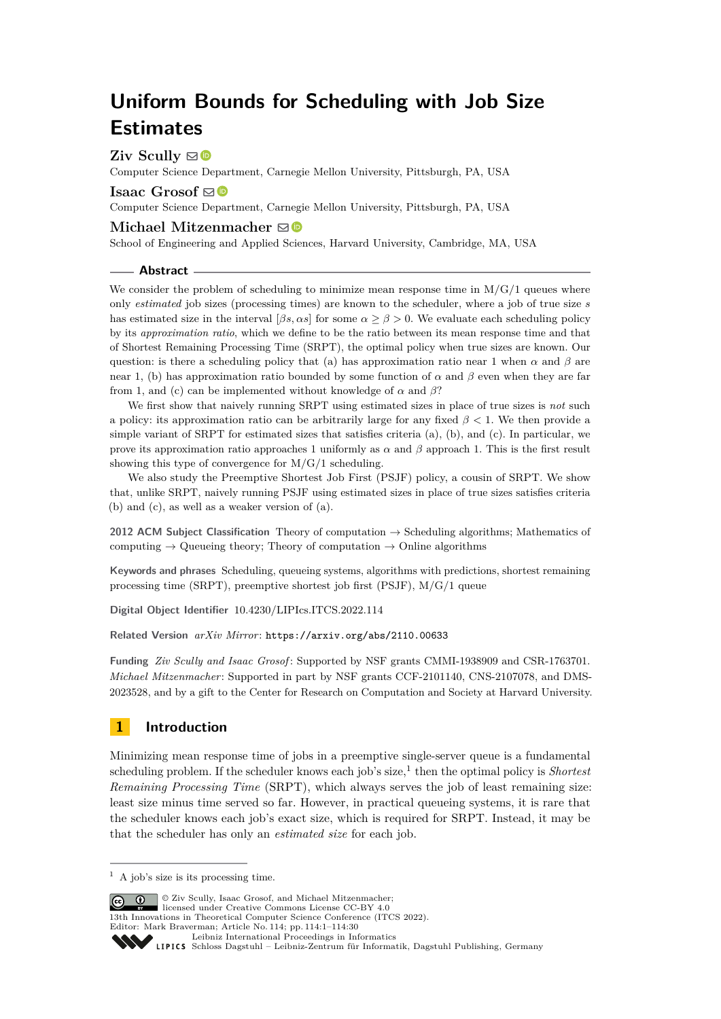# **Uniform Bounds for Scheduling with Job Size Estimates**

**Ziv Scully**  $\boxtimes$ 

Computer Science Department, Carnegie Mellon University, Pittsburgh, PA, USA

**Isaac** Grosof  $\mathbf{\mathbb{S}}$ 

Computer Science Department, Carnegie Mellon University, Pittsburgh, PA, USA

### **Michael Mitzenmacher**  $\mathbf{\mathbb{S}}\mathbf{\Phi}$

School of Engineering and Applied Sciences, Harvard University, Cambridge, MA, USA

#### **Abstract**

We consider the problem of scheduling to minimize mean response time in  $M/G/1$  queues where only *estimated* job sizes (processing times) are known to the scheduler, where a job of true size *s* has estimated size in the interval  $(\beta s, \alpha s)$  for some  $\alpha \geq \beta > 0$ . We evaluate each scheduling policy by its *approximation ratio*, which we define to be the ratio between its mean response time and that of Shortest Remaining Processing Time (SRPT), the optimal policy when true sizes are known. Our question: is there a scheduling policy that (a) has approximation ratio near 1 when  $\alpha$  and  $\beta$  are near 1, (b) has approximation ratio bounded by some function of  $\alpha$  and  $\beta$  even when they are far from 1, and (c) can be implemented without knowledge of  $\alpha$  and  $\beta$ ?

We first show that naively running SRPT using estimated sizes in place of true sizes is *not* such a policy: its approximation ratio can be arbitrarily large for any fixed *β <* 1. We then provide a simple variant of SRPT for estimated sizes that satisfies criteria (a), (b), and (c). In particular, we prove its approximation ratio approaches 1 uniformly as  $\alpha$  and  $\beta$  approach 1. This is the first result showing this type of convergence for  $M/G/1$  scheduling.

We also study the Preemptive Shortest Job First (PSJF) policy, a cousin of SRPT. We show that, unlike SRPT, naively running PSJF using estimated sizes in place of true sizes satisfies criteria (b) and (c), as well as a weaker version of (a).

**2012 ACM Subject Classification** Theory of computation → Scheduling algorithms; Mathematics of computing  $\rightarrow$  Queueing theory; Theory of computation  $\rightarrow$  Online algorithms

**Keywords and phrases** Scheduling, queueing systems, algorithms with predictions, shortest remaining processing time (SRPT), preemptive shortest job first (PSJF), M/G/1 queue

**Digital Object Identifier** [10.4230/LIPIcs.ITCS.2022.114](https://doi.org/10.4230/LIPIcs.ITCS.2022.114)

**Related Version** *arXiv Mirror*: <https://arxiv.org/abs/2110.00633>

**Funding** *Ziv Scully and Isaac Grosof* : Supported by NSF grants CMMI-1938909 and CSR-1763701. *Michael Mitzenmacher*: Supported in part by NSF grants CCF-2101140, CNS-2107078, and DMS-2023528, and by a gift to the Center for Research on Computation and Society at Harvard University.

# **1 Introduction**

Minimizing mean response time of jobs in a preemptive single-server queue is a fundamental scheduling problem. If the scheduler knows each job's size,<sup>[1](#page-0-0)</sup> then the optimal policy is *Shortest Remaining Processing Time* (SRPT), which always serves the job of least remaining size: least size minus time served so far. However, in practical queueing systems, it is rare that the scheduler knows each job's exact size, which is required for SRPT. Instead, it may be that the scheduler has only an *estimated size* for each job.

 $\boxed{\text{c}}$   $\boxed{\text{d}}$   $\boxed{\text{Q}}$   $\boxed{\text{Q}}$   $\boxed{\text{Q}}$   $\boxed{\text{S}$  Scully, Isaac Grosof, and Michael Mitzenmacher: licensed under Creative Commons License CC-BY 4.0

13th Innovations in Theoretical Computer Science Conference (ITCS 2022).

Editor: Mark Braverman; Article No. 114; pp. 114:1–114:30

<span id="page-0-0"></span> $<sup>1</sup>$  A job's size is its processing time.</sup>

[Leibniz International Proceedings in Informatics](https://www.dagstuhl.de/lipics/)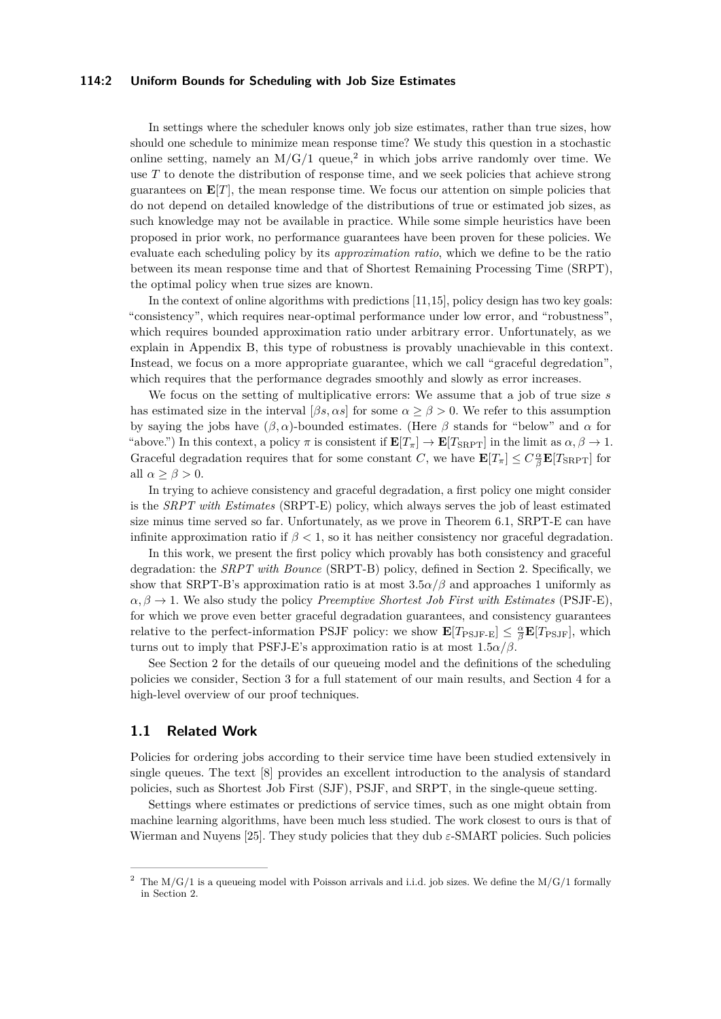### **114:2 Uniform Bounds for Scheduling with Job Size Estimates**

In settings where the scheduler knows only job size estimates, rather than true sizes, how should one schedule to minimize mean response time? We study this question in a stochastic online setting, namely an  $M/G/1$  queue,<sup>[2](#page-1-0)</sup> in which jobs arrive randomly over time. We use T to denote the distribution of response time, and we seek policies that achieve strong guarantees on  $\mathbf{E}[T]$ , the mean response time. We focus our attention on simple policies that do not depend on detailed knowledge of the distributions of true or estimated job sizes, as such knowledge may not be available in practice. While some simple heuristics have been proposed in prior work, no performance guarantees have been proven for these policies. We evaluate each scheduling policy by its *approximation ratio*, which we define to be the ratio between its mean response time and that of Shortest Remaining Processing Time (SRPT), the optimal policy when true sizes are known.

In the context of online algorithms with predictions [\[11,](#page-26-0)[15\]](#page-26-1), policy design has two key goals: "consistency", which requires near-optimal performance under low error, and "robustness", which requires bounded approximation ratio under arbitrary error. Unfortunately, as we explain in Appendix [B,](#page-27-0) this type of robustness is provably unachievable in this context. Instead, we focus on a more appropriate guarantee, which we call "graceful degredation", which requires that the performance degrades smoothly and slowly as error increases.

We focus on the setting of multiplicative errors: We assume that a job of true size *s* has estimated size in the interval  $[\beta s, \alpha s]$  for some  $\alpha > \beta > 0$ . We refer to this assumption by saying the jobs have (*β, α*)-bounded estimates. (Here *β* stands for "below" and *α* for "above.") In this context, a policy  $\pi$  is consistent if  $\mathbf{E}[T_{\pi}] \to \mathbf{E}[T_{\text{SRPT}}]$  in the limit as  $\alpha, \beta \to 1$ . Graceful degradation requires that for some constant *C*, we have  $\mathbf{E}[T_{\pi}] \leq C \frac{\alpha}{\beta} \mathbf{E}[T_{\text{SRPT}}]$  for all  $\alpha \geq \beta > 0$ .

In trying to achieve consistency and graceful degradation, a first policy one might consider is the *SRPT with Estimates* (SRPT-E) policy, which always serves the job of least estimated size minus time served so far. Unfortunately, as we prove in Theorem [6.1,](#page-15-0) SRPT-E can have infinite approximation ratio if  $\beta$  < 1, so it has neither consistency nor graceful degradation.

In this work, we present the first policy which provably has both consistency and graceful degradation: the *SRPT with Bounce* (SRPT-B) policy, defined in Section [2.](#page-2-0) Specifically, we show that SRPT-B's approximation ratio is at most  $3.5\alpha/\beta$  and approaches 1 uniformly as  $\alpha, \beta \rightarrow 1$ . We also study the policy *Preemptive Shortest Job First with Estimates* (PSJF-E), for which we prove even better graceful degradation guarantees, and consistency guarantees relative to the perfect-information PSJF policy: we show  $\mathbf{E}[T_{\text{PSJF-E}}] \leq \frac{\alpha}{\beta} \mathbf{E}[T_{\text{PSJF}}]$ , which turns out to imply that PSFJ-E's approximation ratio is at most  $1.5\alpha/\beta$ .

See Section [2](#page-2-0) for the details of our queueing model and the definitions of the scheduling policies we consider, Section [3](#page-4-0) for a full statement of our main results, and Section [4](#page-7-0) for a high-level overview of our proof techniques.

### **1.1 Related Work**

Policies for ordering jobs according to their service time have been studied extensively in single queues. The text [\[8\]](#page-26-2) provides an excellent introduction to the analysis of standard policies, such as Shortest Job First (SJF), PSJF, and SRPT, in the single-queue setting.

Settings where estimates or predictions of service times, such as one might obtain from machine learning algorithms, have been much less studied. The work closest to ours is that of Wierman and Nuyens [\[25\]](#page-27-1). They study policies that they dub *ε*-SMART policies. Such policies

<span id="page-1-0"></span>The  $M/G/1$  is a queueing model with Poisson arrivals and i.i.d. job sizes. We define the  $M/G/1$  formally in Section [2.](#page-2-0)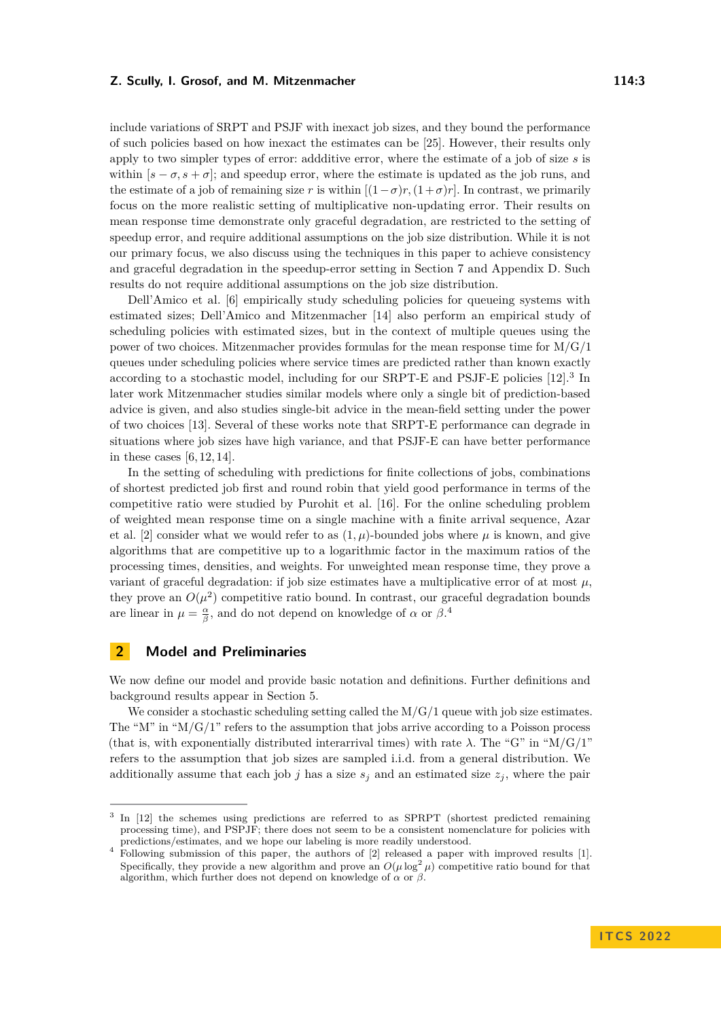include variations of SRPT and PSJF with inexact job sizes, and they bound the performance of such policies based on how inexact the estimates can be [\[25\]](#page-27-1). However, their results only apply to two simpler types of error: addditive error, where the estimate of a job of size *s* is within  $[s - \sigma, s + \sigma]$ ; and speedup error, where the estimate is updated as the job runs, and the estimate of a job of remaining size *r* is within  $[(1 - \sigma)r, (1 + \sigma)r]$ . In contrast, we primarily focus on the more realistic setting of multiplicative non-updating error. Their results on mean response time demonstrate only graceful degradation, are restricted to the setting of speedup error, and require additional assumptions on the job size distribution. While it is not our primary focus, we also discuss using the techniques in this paper to achieve consistency and graceful degradation in the speedup-error setting in Section [7](#page-16-0) and Appendix [D.](#page-28-0) Such results do not require additional assumptions on the job size distribution.

Dell'Amico et al. [\[6\]](#page-26-3) empirically study scheduling policies for queueing systems with estimated sizes; Dell'Amico and Mitzenmacher [\[14\]](#page-26-4) also perform an empirical study of scheduling policies with estimated sizes, but in the context of multiple queues using the power of two choices. Mitzenmacher provides formulas for the mean response time for  $M/G/1$ queues under scheduling policies where service times are predicted rather than known exactly according to a stochastic model, including for our SRPT-E and PSJF-E policies [\[12\]](#page-26-5).<sup>[3](#page-2-1)</sup> In later work Mitzenmacher studies similar models where only a single bit of prediction-based advice is given, and also studies single-bit advice in the mean-field setting under the power of two choices [\[13\]](#page-26-6). Several of these works note that SRPT-E performance can degrade in situations where job sizes have high variance, and that PSJF-E can have better performance in these cases  $[6, 12, 14]$  $[6, 12, 14]$  $[6, 12, 14]$ .

In the setting of scheduling with predictions for finite collections of jobs, combinations of shortest predicted job first and round robin that yield good performance in terms of the competitive ratio were studied by Purohit et al. [\[16\]](#page-26-7). For the online scheduling problem of weighted mean response time on a single machine with a finite arrival sequence, Azar et al. [\[2\]](#page-25-0) consider what we would refer to as  $(1, \mu)$ -bounded jobs where  $\mu$  is known, and give algorithms that are competitive up to a logarithmic factor in the maximum ratios of the processing times, densities, and weights. For unweighted mean response time, they prove a variant of graceful degradation: if job size estimates have a multiplicative error of at most  $\mu$ . they prove an  $O(\mu^2)$  competitive ratio bound. In contrast, our graceful degradation bounds are linear in  $\mu = \frac{\alpha}{\beta}$ , and do not depend on knowledge of  $\alpha$  or  $\beta$ .<sup>[4](#page-2-2)</sup>

### <span id="page-2-0"></span>**2 Model and Preliminaries**

We now define our model and provide basic notation and definitions. Further definitions and background results appear in Section [5.](#page-11-0)

We consider a stochastic scheduling setting called the  $M/G/1$  queue with job size estimates. The "M" in " $M/G/1$ " refers to the assumption that jobs arrive according to a Poisson process (that is, with exponentially distributed interarrival times) with rate  $\lambda$ . The "G" in "M/G/1" refers to the assumption that job sizes are sampled i.i.d. from a general distribution. We additionally assume that each job *j* has a size  $s_j$  and an estimated size  $z_j$ , where the pair

<span id="page-2-1"></span><sup>&</sup>lt;sup>3</sup> In [\[12\]](#page-26-5) the schemes using predictions are referred to as SPRPT (shortest predicted remaining processing time), and PSPJF; there does not seem to be a consistent nomenclature for policies with predictions/estimates, and we hope our labeling is more readily understood.

<span id="page-2-2"></span><sup>&</sup>lt;sup>4</sup> Following submission of this paper, the authors of [\[2\]](#page-25-0) released a paper with improved results [\[1\]](#page-25-1). Specifically, they provide a new algorithm and prove an  $O(\mu \log^2 \mu)$  competitive ratio bound for that algorithm, which further does not depend on knowledge of  $\alpha$  or  $\beta$ .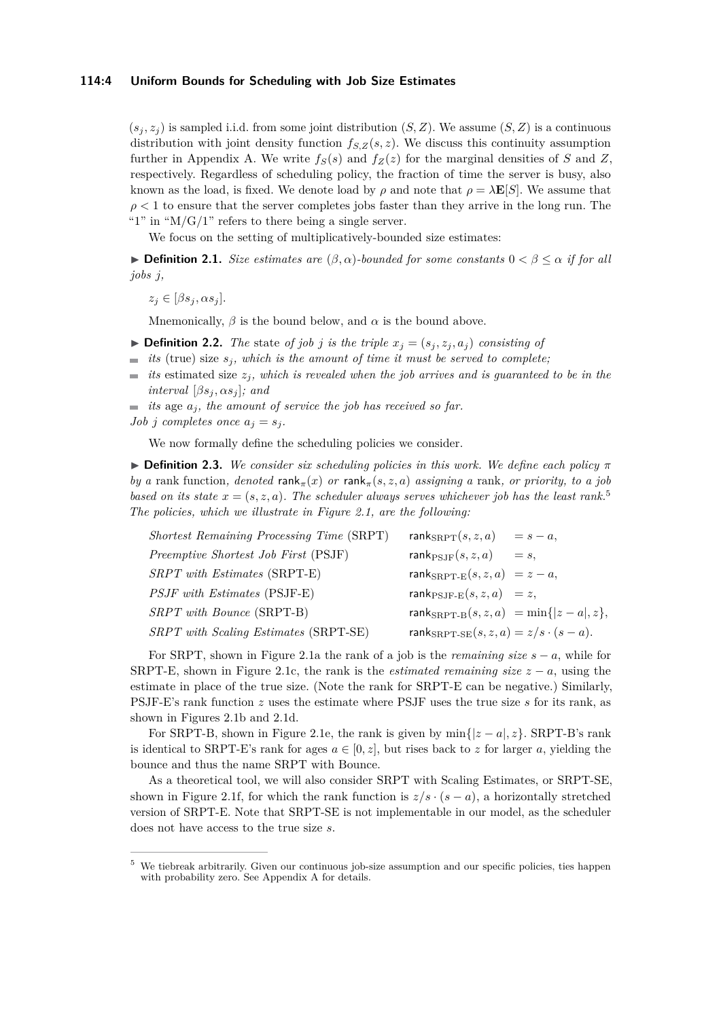### **114:4 Uniform Bounds for Scheduling with Job Size Estimates**

 $(s_i, z_i)$  is sampled i.i.d. from some joint distribution  $(S, Z)$ . We assume  $(S, Z)$  is a continuous distribution with joint density function  $f_{S,Z}(s, z)$ . We discuss this continuity assumption further in Appendix [A.](#page-27-2) We write  $f_S(s)$  and  $f_Z(z)$  for the marginal densities of *S* and *Z*, respectively. Regardless of scheduling policy, the fraction of time the server is busy, also known as the load, is fixed. We denote load by  $\rho$  and note that  $\rho = \lambda \mathbf{E}[S]$ . We assume that  $\rho < 1$  to ensure that the server completes jobs faster than they arrive in the long run. The "1" in " $M/G/1$ " refers to there being a single server.

We focus on the setting of multiplicatively-bounded size estimates:

<span id="page-3-1"></span>**► Definition 2.1.** *Size estimates are*  $(\beta, \alpha)$ -bounded for some constants  $0 < \beta \leq \alpha$  if for all *jobs j,*

 $z_j \in [\beta s_j, \alpha s_j].$ 

Mnemonically,  $\beta$  is the bound below, and  $\alpha$  is the bound above.

<span id="page-3-2"></span> $\triangleright$  **Definition 2.2.** *The* state *of job j is the triple*  $x_j = (s_j, z_j, a_j)$  *consisting of* 

- *its* (true) size *sj, which is the amount of time it must be served to complete;*  $\blacksquare$
- $\frac{1}{2}$ *its* estimated size *zj, which is revealed when the job arrives and is guaranteed to be in the interval*  $[\beta s_j, \alpha s_j]$ *; and*
- $\equiv$  *its* age  $a_j$ *, the amount of service the job has received so far.*
- *Job j completes once*  $a_i = s_i$ *.*

We now formally define the scheduling policies we consider.

<span id="page-3-3"></span>▶ **Definition 2.3.** *We consider six scheduling policies in this work. We define each policy π by a* rank function, denoted rank $\pi(x)$  *or* rank $\pi(s, z, a)$  *assigning a* rank, *or priority, to a job based on its state*  $x = (s, z, a)$ *. The scheduler always serves whichever job has the least rank.*<sup>[5](#page-3-0)</sup> *The policies, which we illustrate in Figure [2.1,](#page-4-1) are the following:*

| <i>Shortest Remaining Processing Time</i> (SRPT) | $rank_{SRPT}(s, z, a) = s - a,$                        |
|--------------------------------------------------|--------------------------------------------------------|
| Preemptive Shortest Job First (PSJF)             | rank $_{\text{PSJF}}(s, z, a)$<br>$=$ $s$ .            |
| $SRPT$ with Estimates (SRPT-E)                   | rank ${}_{\rm SRPT-E}(s, z, a) = z - a$ ,              |
| PSJF with Estimates (PSJF-E)                     | $rank_{\text{PSJF-E}}(s, z, a) = z,$                   |
| SRPT with Bounce (SRPT-B)                        | rank $_{\rm SRPT-B}(s, z, a) = \min\{ z - a , z\},\$   |
| SRPT with Scaling Estimates (SRPT-SE)            | rank $S_{\text{RPT-SE}}(s, z, a) = z/s \cdot (s - a).$ |
|                                                  |                                                        |

For SRPT, shown in Figure [2.1a](#page-4-1) the rank of a job is the *remaining size*  $s - a$ , while for SRPT-E, shown in Figure [2.1c,](#page-4-1) the rank is the *estimated remaining size*  $z - a$ , using the estimate in place of the true size. (Note the rank for SRPT-E can be negative.) Similarly, PSJF-E's rank function *z* uses the estimate where PSJF uses the true size *s* for its rank, as shown in Figures [2.1b](#page-4-1) and [2.1d.](#page-4-1)

For SRPT-B, shown in Figure [2.1e,](#page-4-1) the rank is given by  $\min\{|z-a|, z\}$ . SRPT-B's rank is identical to SRPT-E's rank for ages  $a \in [0, z]$ , but rises back to *z* for larger *a*, yielding the bounce and thus the name SRPT with Bounce.

As a theoretical tool, we will also consider SRPT with Scaling Estimates, or SRPT-SE, shown in Figure [2.1f,](#page-4-1) for which the rank function is  $z/s \cdot (s - a)$ , a horizontally stretched version of SRPT-E. Note that SRPT-SE is not implementable in our model, as the scheduler does not have access to the true size *s*.

<span id="page-3-0"></span><sup>5</sup> We tiebreak arbitrarily. Given our continuous job-size assumption and our specific policies, ties happen with probability zero. See Appendix [A](#page-27-2) for details.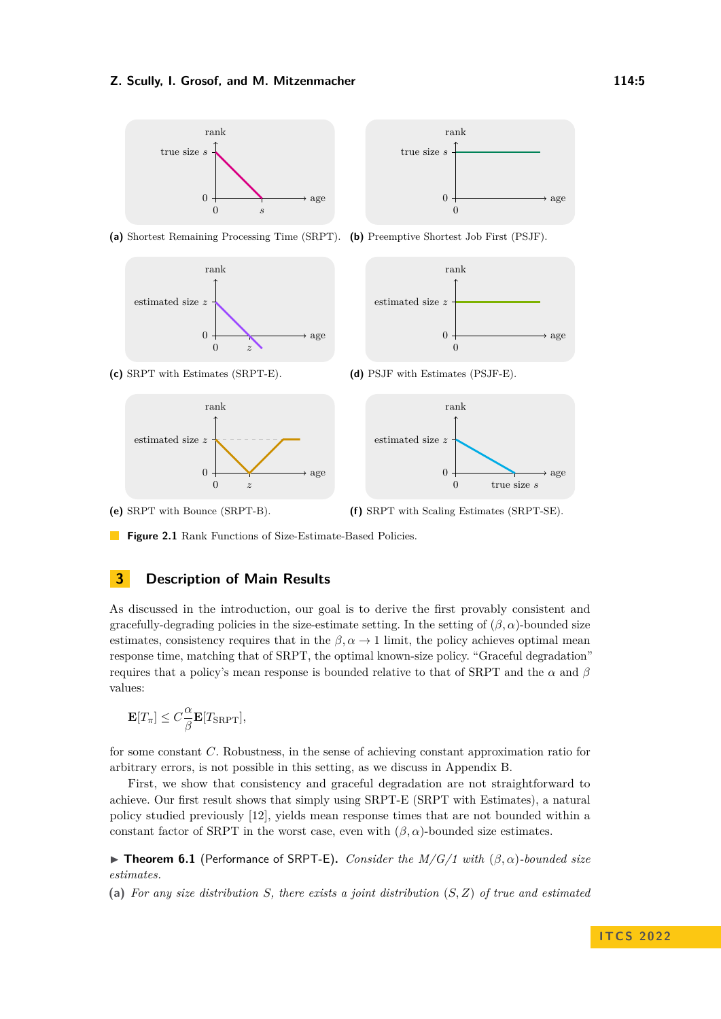<span id="page-4-1"></span>

**(a)** Shortest Remaining Processing Time (SRPT). **(b)** Preemptive Shortest Job First (PSJF).





**(c)** SRPT with Estimates (SRPT-E).





**(e)** SRPT with Bounce (SRPT-B).

**(f)** SRPT with Scaling Estimates (SRPT-SE).

**Figure 2.1** Rank Functions of Size-Estimate-Based Policies.

# <span id="page-4-0"></span>**3 Description of Main Results**

As discussed in the introduction, our goal is to derive the first provably consistent and gracefully-degrading policies in the size-estimate setting. In the setting of  $(\beta, \alpha)$ -bounded size estimates, consistency requires that in the  $\beta$ ,  $\alpha \to 1$  limit, the policy achieves optimal mean response time, matching that of SRPT, the optimal known-size policy. "Graceful degradation" requires that a policy's mean response is bounded relative to that of SRPT and the *α* and *β* values:

$$
\mathbf{E}[T_{\pi}] \leq C \frac{\alpha}{\beta} \mathbf{E}[T_{\text{SRPT}}],
$$

for some constant *C*. Robustness, in the sense of achieving constant approximation ratio for arbitrary errors, is not possible in this setting, as we discuss in Appendix [B.](#page-27-0)

First, we show that consistency and graceful degradation are not straightforward to achieve. Our first result shows that simply using SRPT-E (SRPT with Estimates), a natural policy studied previously [\[12\]](#page-26-5), yields mean response times that are not bounded within a constant factor of SRPT in the worst case, even with  $(\beta, \alpha)$ -bounded size estimates.

▶ **Theorem 6.1** (Performance of SRPT-E)**.** *Consider the M/G/1 with* (*β, α*)*-bounded size estimates.*

**(a)** *For any size distribution S, there exists a joint distribution* (*S, Z*) *of true and estimated*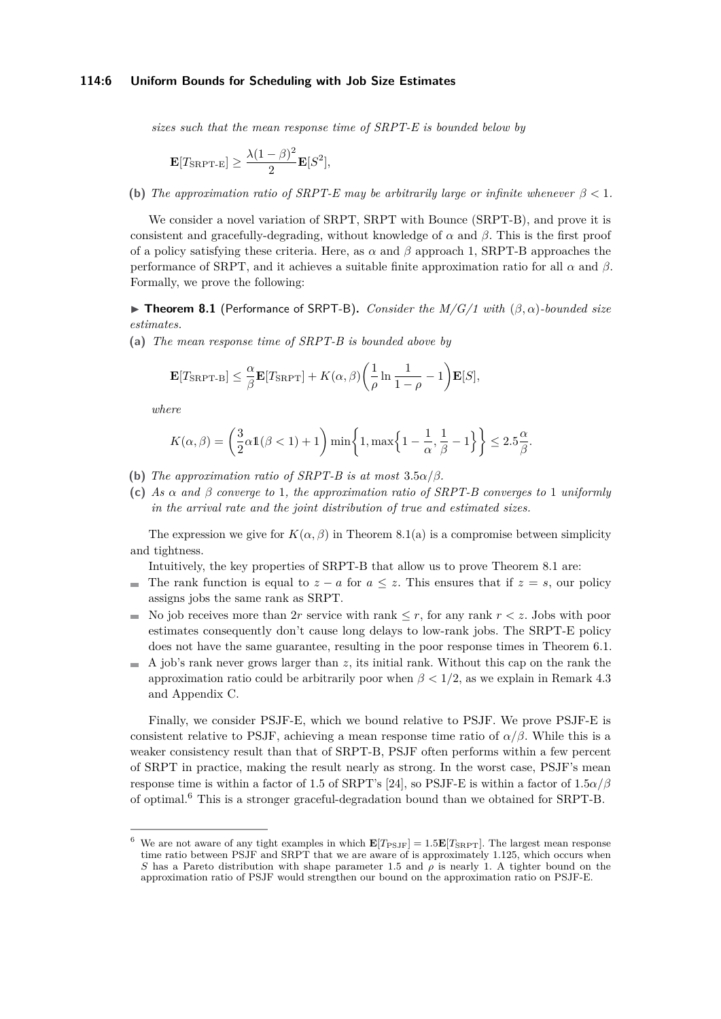#### **114:6 Uniform Bounds for Scheduling with Job Size Estimates**

*sizes such that the mean response time of SRPT-E is bounded below by*

$$
\mathbf{E}[T_{\text{SRPT-E}}] \ge \frac{\lambda (1-\beta)^2}{2} \mathbf{E}[S^2],
$$

**(b)** *The approximation ratio of SRPT-E may be arbitrarily large or infinite whenever*  $\beta < 1$ *.* 

We consider a novel variation of SRPT, SRPT with Bounce (SRPT-B), and prove it is consistent and gracefully-degrading, without knowledge of  $\alpha$  and  $\beta$ . This is the first proof of a policy satisfying these criteria. Here, as *α* and *β* approach 1, SRPT-B approaches the performance of SRPT, and it achieves a suitable finite approximation ratio for all *α* and *β*. Formally, we prove the following:

▶ **Theorem 8.1** (Performance of SRPT-B)**.** *Consider the M/G/1 with* (*β, α*)*-bounded size estimates.*

**(a)** *The mean response time of SRPT-B is bounded above by*

$$
\mathbf{E}[T_{\text{SRPT-B}}] \leq \frac{\alpha}{\beta} \mathbf{E}[T_{\text{SRPT}}] + K(\alpha, \beta) \left(\frac{1}{\rho} \ln \frac{1}{1-\rho} - 1\right) \mathbf{E}[S],
$$

*where*

$$
K(\alpha, \beta) = \left(\frac{3}{2}\alpha 1(\beta < 1) + 1\right) \min\left\{1, \max\left\{1 - \frac{1}{\alpha}, \frac{1}{\beta} - 1\right\}\right\} \le 2.5\frac{\alpha}{\beta}.
$$

- **(b)** *The approximation ratio of SRPT-B is at most*  $3.5\alpha/\beta$ *.*
- **(c)** *As α and β converge to* 1*, the approximation ratio of SRPT-B converges to* 1 *uniformly in the arrival rate and the joint distribution of true and estimated sizes.*

The expression we give for  $K(\alpha, \beta)$  in [Theorem 8.1\(a\)](#page-18-0) is a compromise between simplicity and tightness.

Intuitively, the key properties of SRPT-B that allow us to prove Theorem [8.1](#page-15-0) are:

- The rank function is equal to  $z a$  for  $a \leq z$ . This ensures that if  $z = s$ , our policy assigns jobs the same rank as SRPT.
- No job receives more than 2*r* service with rank  $\leq r$ , for any rank  $r < z$ . Jobs with poor estimates consequently don't cause long delays to low-rank jobs. The SRPT-E policy does not have the same guarantee, resulting in the poor response times in Theorem [6.1.](#page-15-0)
- $\blacksquare$  A job's rank never grows larger than *z*, its initial rank. Without this cap on the rank the approximation ratio could be arbitrarily poor when  $\beta < 1/2$ , as we explain in Remark [4.3](#page-11-1) and Appendix [C.](#page-28-1)

Finally, we consider PSJF-E, which we bound relative to PSJF. We prove PSJF-E is consistent relative to PSJF, achieving a mean response time ratio of  $\alpha/\beta$ . While this is a weaker consistency result than that of SRPT-B, PSJF often performs within a few percent of SRPT in practice, making the result nearly as strong. In the worst case, PSJF's mean response time is within a factor of 1.5 of SRPT's [\[24\]](#page-27-3), so PSJF-E is within a factor of  $1.5\alpha/\beta$ of optimal.[6](#page-5-0) This is a stronger graceful-degradation bound than we obtained for SRPT-B.

<span id="page-5-0"></span>We are not aware of any tight examples in which  $\mathbf{E}[T_{\text{PSJF}}] = 1.5\mathbf{E}[T_{\text{SRPT}}]$ . The largest mean response time ratio between PSJF and SRPT that we are aware of is approximately 1*.*125, which occurs when *S* has a Pareto distribution with shape parameter 1*.*5 and *ρ* is nearly 1. A tighter bound on the approximation ratio of PSJF would strengthen our bound on the approximation ratio on PSJF-E.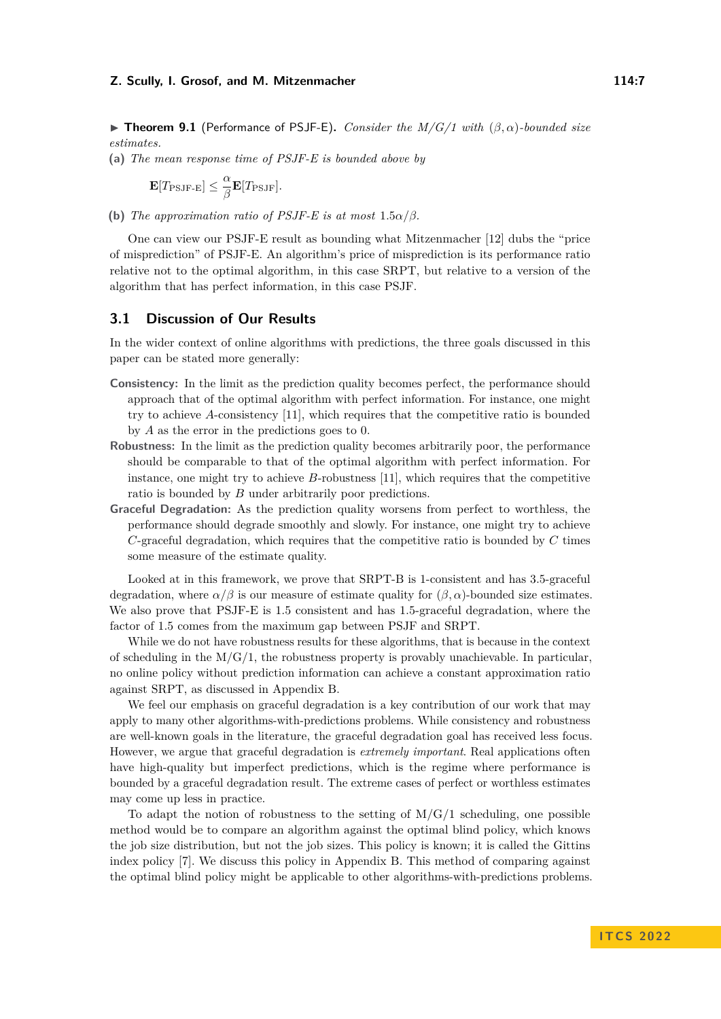▶ **Theorem 9.1** (Performance of PSJF-E)**.** *Consider the M/G/1 with* (*β, α*)*-bounded size estimates.*

**(a)** *The mean response time of PSJF-E is bounded above by*

$$
\mathbf{E}[T_{\mathrm{PSJF-E}}] \leq \frac{\alpha}{\beta} \mathbf{E}[T_{\mathrm{PSJF}}].
$$

**(b)** *The approximation ratio of PSJF-E is at most*  $1.5\alpha/\beta$ *.* 

One can view our PSJF-E result as bounding what Mitzenmacher [\[12\]](#page-26-5) dubs the "price of misprediction" of PSJF-E. An algorithm's price of misprediction is its performance ratio relative not to the optimal algorithm, in this case SRPT, but relative to a version of the algorithm that has perfect information, in this case PSJF.

### **3.1 Discussion of Our Results**

In the wider context of online algorithms with predictions, the three goals discussed in this paper can be stated more generally:

- **Consistency:** In the limit as the prediction quality becomes perfect, the performance should approach that of the optimal algorithm with perfect information. For instance, one might try to achieve *A*-consistency [\[11\]](#page-26-0), which requires that the competitive ratio is bounded by *A* as the error in the predictions goes to 0.
- **Robustness:** In the limit as the prediction quality becomes arbitrarily poor, the performance should be comparable to that of the optimal algorithm with perfect information. For instance, one might try to achieve *B*-robustness [\[11\]](#page-26-0), which requires that the competitive ratio is bounded by *B* under arbitrarily poor predictions.
- **Graceful Degradation:** As the prediction quality worsens from perfect to worthless, the performance should degrade smoothly and slowly. For instance, one might try to achieve *C*-graceful degradation, which requires that the competitive ratio is bounded by *C* times some measure of the estimate quality.

Looked at in this framework, we prove that SRPT-B is 1-consistent and has 3*.*5-graceful degradation, where  $\alpha/\beta$  is our measure of estimate quality for  $(\beta, \alpha)$ -bounded size estimates. We also prove that PSJF-E is 1*.*5 consistent and has 1*.*5-graceful degradation, where the factor of 1*.*5 comes from the maximum gap between PSJF and SRPT.

While we do not have robustness results for these algorithms, that is because in the context of scheduling in the  $M/G/1$ , the robustness property is provably unachievable. In particular, no online policy without prediction information can achieve a constant approximation ratio against SRPT, as discussed in Appendix [B.](#page-27-0)

We feel our emphasis on graceful degradation is a key contribution of our work that may apply to many other algorithms-with-predictions problems. While consistency and robustness are well-known goals in the literature, the graceful degradation goal has received less focus. However, we argue that graceful degradation is *extremely important*. Real applications often have high-quality but imperfect predictions, which is the regime where performance is bounded by a graceful degradation result. The extreme cases of perfect or worthless estimates may come up less in practice.

To adapt the notion of robustness to the setting of  $M/G/1$  scheduling, one possible method would be to compare an algorithm against the optimal blind policy, which knows the job size distribution, but not the job sizes. This policy is known; it is called the Gittins index policy [\[7\]](#page-26-8). We discuss this policy in Appendix [B.](#page-27-0) This method of comparing against the optimal blind policy might be applicable to other algorithms-with-predictions problems.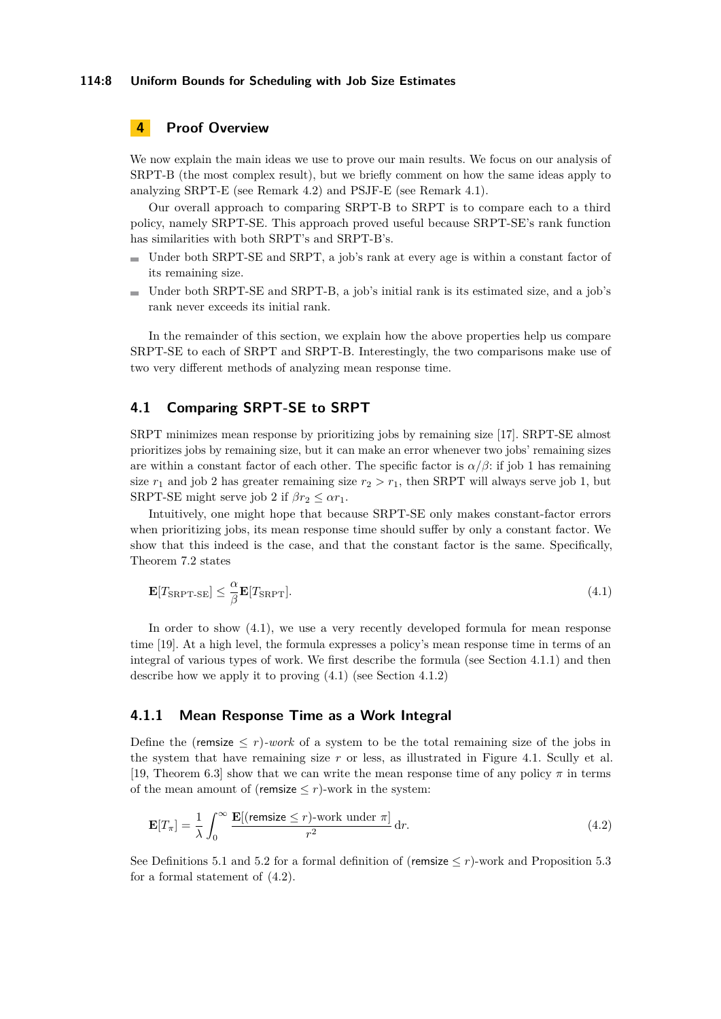### **114:8 Uniform Bounds for Scheduling with Job Size Estimates**

# <span id="page-7-0"></span>**4 Proof Overview**

We now explain the main ideas we use to prove our main results. We focus on our analysis of SRPT-B (the most complex result), but we briefly comment on how the same ideas apply to analyzing SRPT-E (see Remark [4.2\)](#page-10-0) and PSJF-E (see Remark [4.1\)](#page-8-0).

Our overall approach to comparing SRPT-B to SRPT is to compare each to a third policy, namely SRPT-SE. This approach proved useful because SRPT-SE's rank function has similarities with both SRPT's and SRPT-B's.

- Under both SRPT-SE and SRPT, a job's rank at every age is within a constant factor of its remaining size.
- Under both SRPT-SE and SRPT-B, a job's initial rank is its estimated size, and a job's ÷. rank never exceeds its initial rank.

In the remainder of this section, we explain how the above properties help us compare SRPT-SE to each of SRPT and SRPT-B. Interestingly, the two comparisons make use of two very different methods of analyzing mean response time.

## <span id="page-7-4"></span>**4.1 Comparing SRPT-SE to SRPT**

SRPT minimizes mean response by prioritizing jobs by remaining size [\[17\]](#page-26-9). SRPT-SE almost prioritizes jobs by remaining size, but it can make an error whenever two jobs' remaining sizes are within a constant factor of each other. The specific factor is  $\alpha/\beta$ : if job 1 has remaining size  $r_1$  and job 2 has greater remaining size  $r_2 > r_1$ , then SRPT will always serve job 1, but SRPT-SE might serve job 2 if  $\beta r_2 \leq \alpha r_1$ .

Intuitively, one might hope that because SRPT-SE only makes constant-factor errors when prioritizing jobs, its mean response time should suffer by only a constant factor. We show that this indeed is the case, and that the constant factor is the same. Specifically, Theorem [7.2](#page-17-0) states

<span id="page-7-1"></span>
$$
\mathbf{E}[T_{\text{SRPT-SE}}] \leq \frac{\alpha}{\beta} \mathbf{E}[T_{\text{SRPT}}]. \tag{4.1}
$$

In order to show [\(4.1\)](#page-7-1), we use a very recently developed formula for mean response time [\[19\]](#page-26-10). At a high level, the formula expresses a policy's mean response time in terms of an integral of various types of work. We first describe the formula (see Section [4.1.1\)](#page-7-2) and then describe how we apply it to proving [\(4.1\)](#page-7-1) (see Section [4.1.2\)](#page-8-1)

### <span id="page-7-2"></span>**4.1.1 Mean Response Time as a Work Integral**

Define the (remsize  $\leq r$ )*-work* of a system to be the total remaining size of the jobs in the system that have remaining size *r* or less, as illustrated in Figure [4.1.](#page-8-2) Scully et al. [\[19,](#page-26-10) Theorem 6.3] show that we can write the mean response time of any policy *π* in terms of the mean amount of (remsize  $\leq r$ )-work in the system:

<span id="page-7-3"></span>
$$
\mathbf{E}[T_{\pi}] = \frac{1}{\lambda} \int_0^{\infty} \frac{\mathbf{E}[(\text{remsize} \le r) \text{-work under } \pi]}{r^2} \,\mathrm{d}r. \tag{4.2}
$$

See Definitions [5.1](#page-3-1) and [5.2](#page-3-2) for a formal definition of (remsize  $\leq r$ )-work and Proposition [5.3](#page-12-0) for a formal statement of [\(4.2\)](#page-7-3).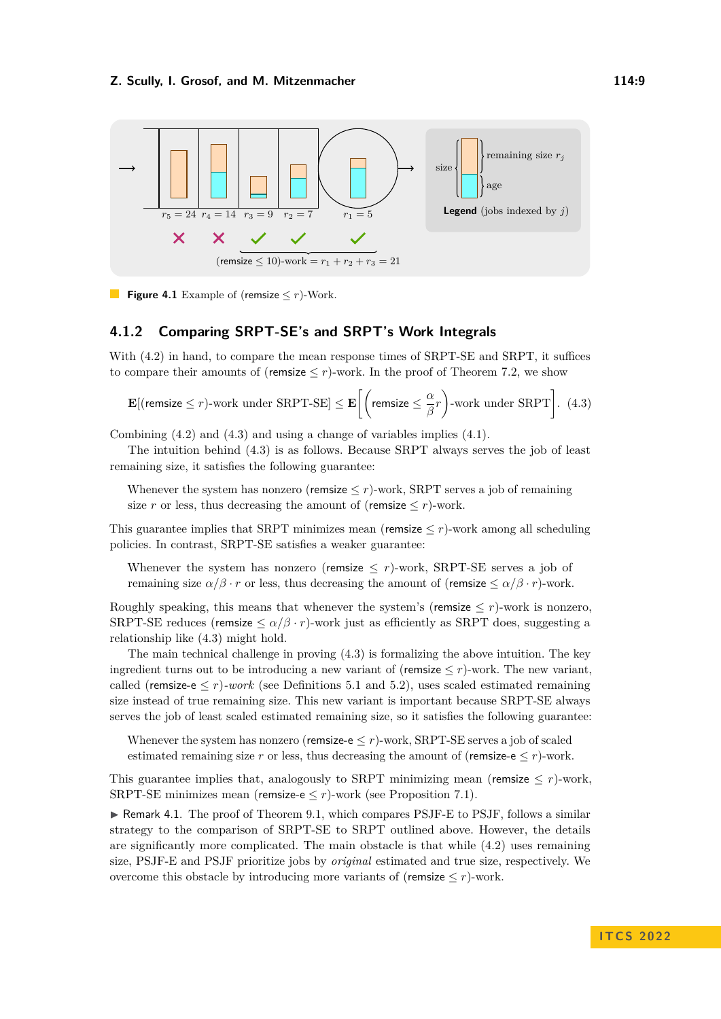<span id="page-8-2"></span>



### <span id="page-8-1"></span>**4.1.2 Comparing SRPT-SE's and SRPT's Work Integrals**

With  $(4.2)$  in hand, to compare the mean response times of SRPT-SE and SRPT, it suffices to compare their amounts of (remsize  $\leq r$ )-work. In the proof of Theorem [7.2,](#page-17-0) we show

<span id="page-8-3"></span>
$$
\mathbf{E}[(\text{remsize} \le r) \text{-work under SRPT-SE}] \le \mathbf{E}\left[\left(\text{remsize} \le \frac{\alpha}{\beta}r\right) \text{-work under SRPT}\right]. \tag{4.3}
$$

Combining [\(4.2\)](#page-7-3) and [\(4.3\)](#page-8-3) and using a change of variables implies [\(4.1\)](#page-7-1).

The intuition behind [\(4.3\)](#page-8-3) is as follows. Because SRPT always serves the job of least remaining size, it satisfies the following guarantee:

Whenever the system has nonzero (remsize  $\leq r$ )-work, SRPT serves a job of remaining size *r* or less, thus decreasing the amount of (remsize  $\leq r$ )-work.

This guarantee implies that SRPT minimizes mean (remsize  $\leq r$ )-work among all scheduling policies. In contrast, SRPT-SE satisfies a weaker guarantee:

Whenever the system has nonzero (remsize  $\leq r$ )-work, SRPT-SE serves a job of remaining size  $\alpha/\beta \cdot r$  or less, thus decreasing the amount of (remsize  $\leq \alpha/\beta \cdot r$ )-work.

Roughly speaking, this means that whenever the system's (remsize  $\leq r$ )-work is nonzero, SRPT-SE reduces (remsize  $\leq \alpha/\beta \cdot r$ )-work just as efficiently as SRPT does, suggesting a relationship like [\(4.3\)](#page-8-3) might hold.

The main technical challenge in proving [\(4.3\)](#page-8-3) is formalizing the above intuition. The key ingredient turns out to be introducing a new variant of (remsize  $\leq r$ )-work. The new variant, called (remsize-e  $\leq r$ )*-work* (see Definitions [5.1](#page-3-1) and [5.2\)](#page-3-2), uses scaled estimated remaining size instead of true remaining size. This new variant is important because SRPT-SE always serves the job of least scaled estimated remaining size, so it satisfies the following guarantee:

Whenever the system has nonzero (remsize- $e \leq r$ )-work, SRPT-SE serves a job of scaled estimated remaining size  $r$  or less, thus decreasing the amount of (remsize-e  $\leq r$ )-work.

This guarantee implies that, analogously to SRPT minimizing mean (remsize  $\leq r$ )-work, SRPT-SE minimizes mean (remsize-e  $\leq r$ )-work (see Proposition [7.1\)](#page-16-1).

<span id="page-8-0"></span>▶ Remark 4.1. The proof of Theorem [9.1,](#page-15-0) which compares PSJF-E to PSJF, follows a similar strategy to the comparison of SRPT-SE to SRPT outlined above. However, the details are significantly more complicated. The main obstacle is that while [\(4.2\)](#page-7-3) uses remaining size, PSJF-E and PSJF prioritize jobs by *original* estimated and true size, respectively. We overcome this obstacle by introducing more variants of (remsize  $\leq r$ )-work.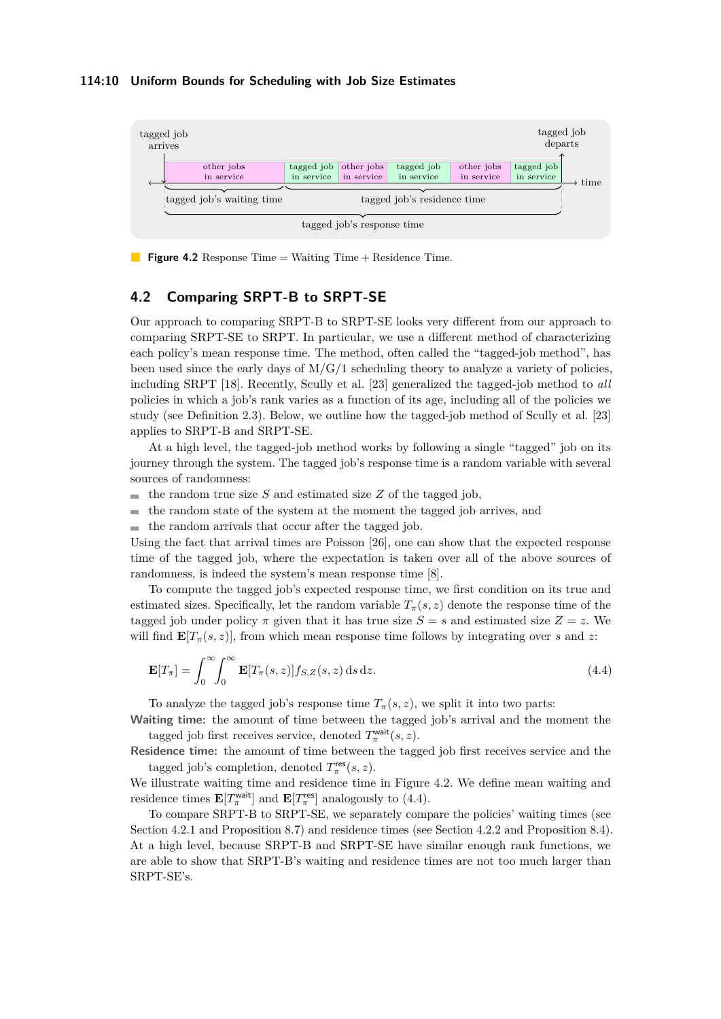#### **114:10 Uniform Bounds for Scheduling with Job Size Estimates**

<span id="page-9-0"></span>

**Figure 4.2** Response Time = Waiting Time + Residence Time.

# <span id="page-9-2"></span>**4.2 Comparing SRPT-B to SRPT-SE**

Our approach to comparing SRPT-B to SRPT-SE looks very different from our approach to comparing SRPT-SE to SRPT. In particular, we use a different method of characterizing each policy's mean response time. The method, often called the "tagged-job method", has been used since the early days of  $M/G/1$  scheduling theory to analyze a variety of policies, including SRPT [\[18\]](#page-26-11). Recently, Scully et al. [\[23\]](#page-27-4) generalized the tagged-job method to *all* policies in which a job's rank varies as a function of its age, including all of the policies we study (see Definition [2.3\)](#page-3-3). Below, we outline how the tagged-job method of Scully et al. [\[23\]](#page-27-4) applies to SRPT-B and SRPT-SE.

At a high level, the tagged-job method works by following a single "tagged" job on its journey through the system. The tagged job's response time is a random variable with several sources of randomness:

- the random true size *S* and estimated size *Z* of the tagged job,  $\blacksquare$
- the random state of the system at the moment the tagged job arrives, and  $\blacksquare$
- $\blacksquare$  the random arrivals that occur after the tagged job.

Using the fact that arrival times are Poisson [\[26\]](#page-27-5), one can show that the expected response time of the tagged job, where the expectation is taken over all of the above sources of randomness, is indeed the system's mean response time [\[8\]](#page-26-2).

To compute the tagged job's expected response time, we first condition on its true and estimated sizes. Specifically, let the random variable  $T_{\pi}(s, z)$  denote the response time of the tagged job under policy  $\pi$  given that it has true size  $S = s$  and estimated size  $Z = z$ . We will find  $\mathbf{E}[T_{\pi}(s,z)]$ , from which mean response time follows by integrating over *s* and *z*:

<span id="page-9-1"></span>
$$
\mathbf{E}[T_{\pi}] = \int_0^{\infty} \int_0^{\infty} \mathbf{E}[T_{\pi}(s, z)] f_{S, Z}(s, z) \, \mathrm{d} s \, \mathrm{d} z. \tag{4.4}
$$

To analyze the tagged job's response time  $T_\pi(s, z)$ , we split it into two parts:

**Waiting time:** the amount of time between the tagged job's arrival and the moment the tagged job first receives service, denoted  $T_{\pi}^{\text{wait}}(s, z)$ .

**Residence time:** the amount of time between the tagged job first receives service and the tagged job's completion, denoted  $T_{\pi}^{\text{res}}(s, z)$ .

We illustrate waiting time and residence time in Figure [4.2.](#page-9-0) We define mean waiting and residence times  $\mathbf{E}[T_{\pi}^{\text{wait}}]$  and  $\mathbf{E}[T_{\pi}^{\text{res}}]$  analogously to [\(4.4\)](#page-9-1).

To compare SRPT-B to SRPT-SE, we separately compare the policies' waiting times (see Section [4.2.1](#page-10-1) and Proposition [8.7\)](#page-20-0) and residence times (see Section [4.2.2](#page-10-2) and Proposition [8.4\)](#page-13-0). At a high level, because SRPT-B and SRPT-SE have similar enough rank functions, we are able to show that SRPT-B's waiting and residence times are not too much larger than SRPT-SE's.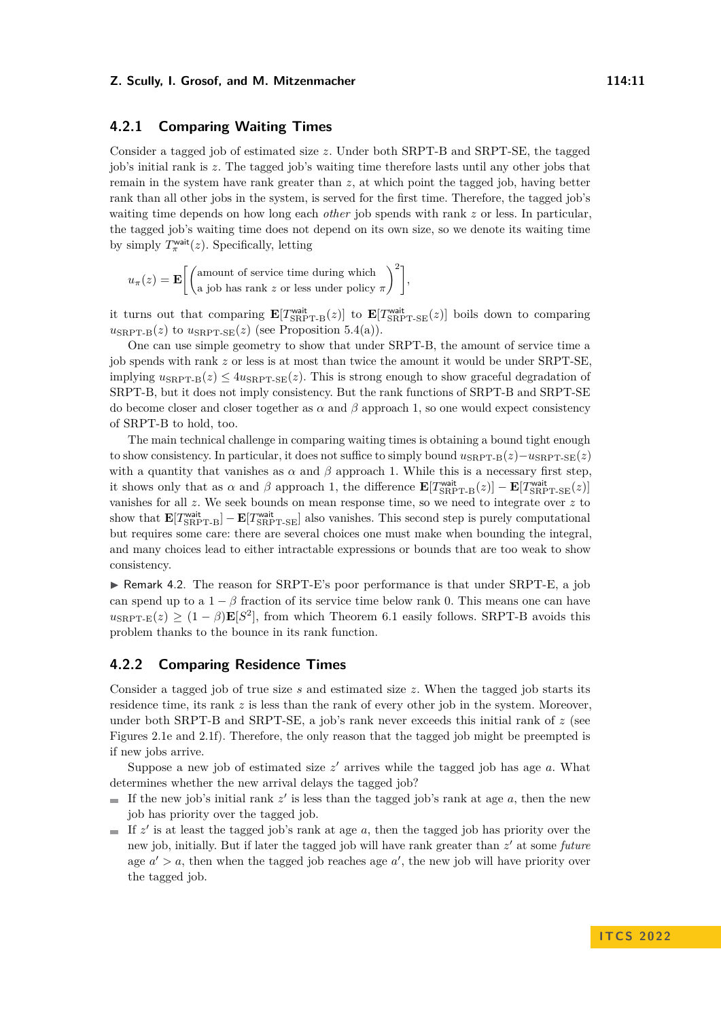### <span id="page-10-1"></span>**4.2.1 Comparing Waiting Times**

Consider a tagged job of estimated size *z*. Under both SRPT-B and SRPT-SE, the tagged job's initial rank is *z*. The tagged job's waiting time therefore lasts until any other jobs that remain in the system have rank greater than *z*, at which point the tagged job, having better rank than all other jobs in the system, is served for the first time. Therefore, the tagged job's waiting time depends on how long each *other* job spends with rank *z* or less. In particular, the tagged job's waiting time does not depend on its own size, so we denote its waiting time by simply  $T_{\pi}^{\text{wait}}(z)$ . Specifically, letting

 $u_{\pi}(z) = \mathbf{E}\left[\begin{pmatrix} \text{amount of service time during which} \\ \text{with been much near large and time of time.} \end{pmatrix}\right]$ a job has rank *z* or less under policy *π*  $\big)^{2}$ ,

it turns out that comparing  $\mathbf{E}[T_{SRPT-B}^{\text{wait}}(z)]$  to  $\mathbf{E}[T_{SRPT-SE}^{\text{wait}}(z)]$  boils down to comparing  $u_{\text{SRPT-B}}(z)$  to  $u_{\text{SRPT-SE}}(z)$  (see [Proposition 5.4\(a\)\)](#page-14-0).

One can use simple geometry to show that under SRPT-B, the amount of service time a job spends with rank *z* or less is at most than twice the amount it would be under SRPT-SE, implying  $u_{\text{SRPT-B}}(z) \leq 4u_{\text{SRPT-SE}}(z)$ . This is strong enough to show graceful degradation of SRPT-B, but it does not imply consistency. But the rank functions of SRPT-B and SRPT-SE do become closer and closer together as  $\alpha$  and  $\beta$  approach 1, so one would expect consistency of SRPT-B to hold, too.

The main technical challenge in comparing waiting times is obtaining a bound tight enough to show consistency. In particular, it does not suffice to simply bound  $u_{\text{SRPT-B}}(z)-u_{\text{SRPT-SE}}(z)$ with a quantity that vanishes as  $\alpha$  and  $\beta$  approach 1. While this is a necessary first step, it shows only that as  $\alpha$  and  $\beta$  approach 1, the difference  $\mathbf{E}[T_{SRPT-B}^{\text{wait}}(z)] - \mathbf{E}[T_{SRPT-SE}^{\text{wait}}(z)]$ vanishes for all *z*. We seek bounds on mean response time, so we need to integrate over *z* to show that  $\mathbf{E}[T_{SRPT-B}^{\text{wait}}] - \mathbf{E}[T_{SRPT-SE}^{\text{wait}}]$  also vanishes. This second step is purely computational but requires some care: there are several choices one must make when bounding the integral, and many choices lead to either intractable expressions or bounds that are too weak to show consistency.

<span id="page-10-0"></span>▶ Remark 4.2. The reason for SRPT-E's poor performance is that under SRPT-E, a job can spend up to a  $1 - \beta$  fraction of its service time below rank 0. This means one can have  $u_{\text{SRPT-E}}(z) \geq (1 - \beta) \mathbf{E}[S^2]$ , from which Theorem [6.1](#page-15-0) easily follows. SRPT-B avoids this problem thanks to the bounce in its rank function.

### <span id="page-10-2"></span>**4.2.2 Comparing Residence Times**

Consider a tagged job of true size *s* and estimated size *z*. When the tagged job starts its residence time, its rank *z* is less than the rank of every other job in the system. Moreover, under both SRPT-B and SRPT-SE, a job's rank never exceeds this initial rank of *z* (see Figures [2.1e](#page-4-1) and [2.1f\)](#page-4-1). Therefore, the only reason that the tagged job might be preempted is if new jobs arrive.

Suppose a new job of estimated size  $z'$  arrives while the tagged job has age a. What determines whether the new arrival delays the tagged job?

- If the new job's initial rank  $z'$  is less than the tagged job's rank at age  $a$ , then the new job has priority over the tagged job.
- If  $z'$  is at least the tagged job's rank at age  $a$ , then the tagged job has priority over the  $\sim$ new job, initially. But if later the tagged job will have rank greater than *z* ′ at some *future* age  $a' > a$ , then when the tagged job reaches age  $a'$ , the new job will have priority over the tagged job.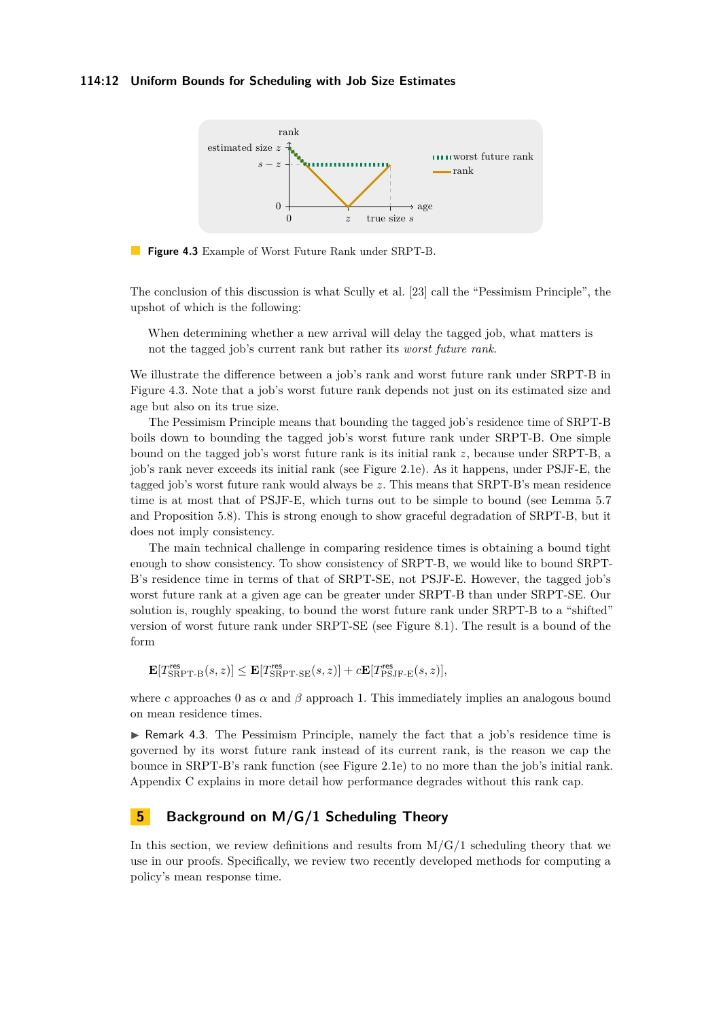### **114:12 Uniform Bounds for Scheduling with Job Size Estimates**

<span id="page-11-2"></span>

**Figure 4.3** Example of Worst Future Rank under SRPT-B.

The conclusion of this discussion is what Scully et al. [\[23\]](#page-27-4) call the "Pessimism Principle", the upshot of which is the following:

When determining whether a new arrival will delay the tagged job, what matters is not the tagged job's current rank but rather its *worst future rank*.

We illustrate the difference between a job's rank and worst future rank under SRPT-B in Figure [4.3.](#page-11-2) Note that a job's worst future rank depends not just on its estimated size and age but also on its true size.

The Pessimism Principle means that bounding the tagged job's residence time of SRPT-B boils down to bounding the tagged job's worst future rank under SRPT-B. One simple bound on the tagged job's worst future rank is its initial rank *z*, because under SRPT-B, a job's rank never exceeds its initial rank (see Figure [2.1e\)](#page-4-1). As it happens, under PSJF-E, the tagged job's worst future rank would always be *z*. This means that SRPT-B's mean residence time is at most that of PSJF-E, which turns out to be simple to bound (see Lemma [5.7](#page-14-1) and Proposition [5.8\)](#page-15-1). This is strong enough to show graceful degradation of SRPT-B, but it does not imply consistency.

The main technical challenge in comparing residence times is obtaining a bound tight enough to show consistency. To show consistency of SRPT-B, we would like to bound SRPT-B's residence time in terms of that of SRPT-SE, not PSJF-E. However, the tagged job's worst future rank at a given age can be greater under SRPT-B than under SRPT-SE. Our solution is, roughly speaking, to bound the worst future rank under SRPT-B to a "shifted" version of worst future rank under SRPT-SE (see Figure [8.1\)](#page-19-0). The result is a bound of the form

$$
\mathbf{E}[T_{\mathrm{SRPT-B}}^{\mathrm{res}}(s,z)] \leq \mathbf{E}[T_{\mathrm{SRPT-SE}}^{\mathrm{res}}(s,z)] + c\mathbf{E}[T_{\mathrm{PSJF-E}}^{\mathrm{res}}(s,z)],
$$

where *c* approaches 0 as  $\alpha$  and  $\beta$  approach 1. This immediately implies an analogous bound on mean residence times.

<span id="page-11-1"></span>▶ Remark 4.3. The Pessimism Principle, namely the fact that a job's residence time is governed by its worst future rank instead of its current rank, is the reason we cap the bounce in SRPT-B's rank function (see Figure [2.1e\)](#page-4-1) to no more than the job's initial rank. Appendix [C](#page-28-1) explains in more detail how performance degrades without this rank cap.

# <span id="page-11-0"></span>**5 Background on M/G/1 Scheduling Theory**

In this section, we review definitions and results from  $M/G/1$  scheduling theory that we use in our proofs. Specifically, we review two recently developed methods for computing a policy's mean response time.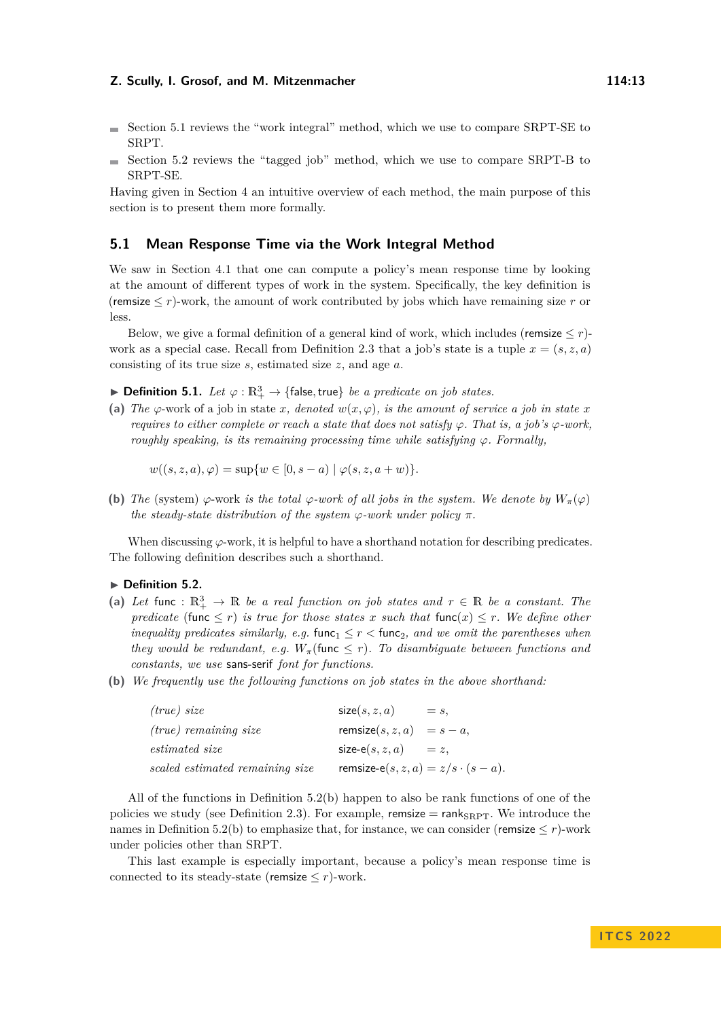- $\blacksquare$  Section [5.1](#page-12-1) reviews the "work integral" method, which we use to compare SRPT-SE to SRPT.
- $\blacksquare$  Section [5.2](#page-13-1) reviews the "tagged job" method, which we use to compare SRPT-B to SRPT-SE.

Having given in Section [4](#page-7-0) an intuitive overview of each method, the main purpose of this section is to present them more formally.

### <span id="page-12-1"></span>**5.1 Mean Response Time via the Work Integral Method**

We saw in Section [4.1](#page-7-4) that one can compute a policy's mean response time by looking at the amount of different types of work in the system. Specifically, the key definition is (remsize  $\leq r$ )-work, the amount of work contributed by jobs which have remaining size r or less.

Below, we give a formal definition of a general kind of work, which includes (remsize  $\leq r$ )-work as a special case. Recall from Definition [2.3](#page-3-3) that a job's state is a tuple  $x = (s, z, a)$ consisting of its true size *s*, estimated size *z*, and age *a*.

 $\blacktriangleright$  **Definition 5.1.** *Let*  $\varphi : \mathbb{R}^3_+ \to \{\text{false}, \text{true}\}\$  *be a predicate on job states.* 

(a) The  $\varphi$ -work of a job in state *x, denoted*  $w(x, \varphi)$ *, is the amount of service a job in state x requires to either complete or reach a state that does not satisfy*  $\varphi$ *. That is, a job's*  $\varphi$ *-work, roughly speaking, is its remaining processing time while satisfying φ. Formally,*

$$
w((s, z, a), \varphi) = \sup \{ w \in [0, s - a) \mid \varphi(s, z, a + w) \}.
$$

**(b)** *The* (system)  $\varphi$ -work *is the total*  $\varphi$ -work of all jobs in the system. We denote by  $W_\pi(\varphi)$ *the steady-state distribution of the system*  $\varphi$ *-work under policy*  $\pi$ *.* 

When discussing  $\varphi$ -work, it is helpful to have a shorthand notation for describing predicates. The following definition describes such a shorthand.

#### ▶ **Definition 5.2.**

- (a) Let func :  $\mathbb{R}^3_+ \to \mathbb{R}$  *be a real function on job states and*  $r \in \mathbb{R}$  *be a constant. The predicate* (func  $\leq r$ ) *is true for those states x such that* func $(x) \leq r$ *. We define other inequality predicates similarly, e.g.* func<sub>1</sub>  $\leq r <$  func<sub>2</sub>*, and we omit the parentheses when they would be redundant, e.g.*  $W_{\pi}$  (func  $\leq r$ ). To disambiguate between functions and *constants, we use* sans-serif *font for functions.*
- <span id="page-12-2"></span>**(b)** *We frequently use the following functions on job states in the above shorthand:*

| (true) size                     | size(s, z, a)                               | $= s$ , |
|---------------------------------|---------------------------------------------|---------|
| $(true)$ remaining size         | remsize $(s, z, a) = s - a$ ,               |         |
| <i>estimated size</i>           | $size-e(s, z, a)$ = z,                      |         |
| scaled estimated remaining size | remsize-e $(s, z, a) = z/s \cdot (s - a)$ . |         |

All of the functions in [Definition 5.2\(b\)](#page-12-2) happen to also be rank functions of one of the policies we study (see Definition [2.3\)](#page-3-3). For example, remsize  $=$  rank $_{\rm SRPT}$ . We introduce the names in [Definition 5.2\(b\)](#page-12-2) to emphasize that, for instance, we can consider (remsize  $\leq r$ )-work under policies other than SRPT.

<span id="page-12-0"></span>This last example is especially important, because a policy's mean response time is connected to its steady-state (remsize  $\leq r$ )-work.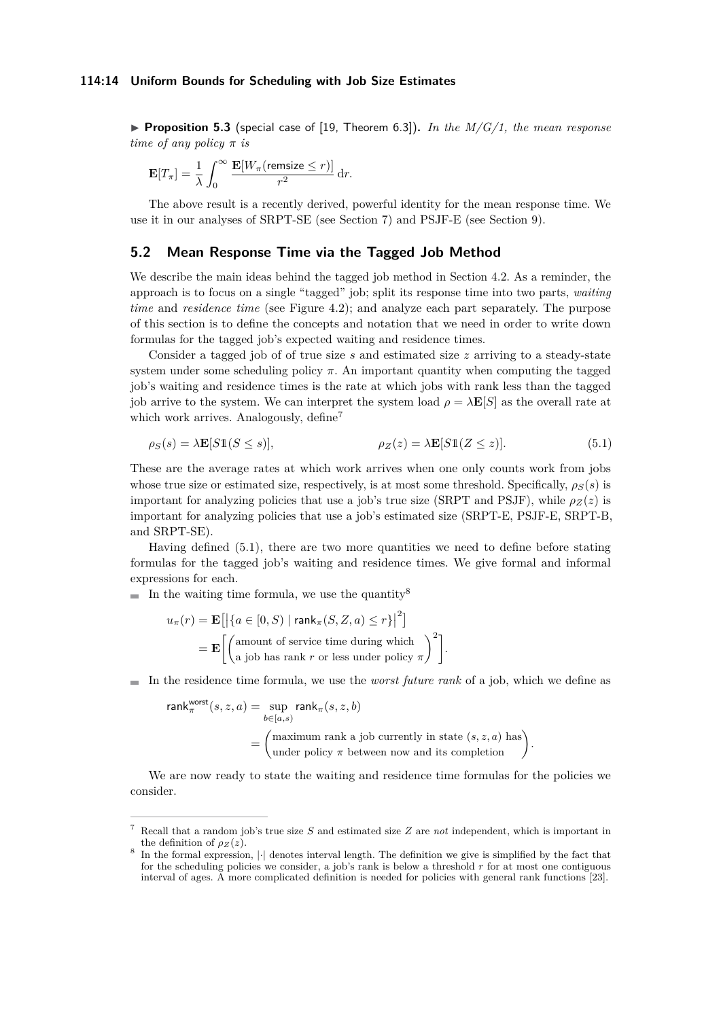#### **114:14 Uniform Bounds for Scheduling with Job Size Estimates**

▶ **Proposition 5.3** (special case of [\[19,](#page-26-10) Theorem 6.3])**.** *In the M/G/1, the mean response time of any policy π is*

$$
\mathbf{E}[T_{\pi}] = \frac{1}{\lambda} \int_0^{\infty} \frac{\mathbf{E}[W_{\pi}(\text{remsize} \leq r)]}{r^2} dr.
$$

The above result is a recently derived, powerful identity for the mean response time. We use it in our analyses of SRPT-SE (see Section [7\)](#page-16-0) and PSJF-E (see Section [9\)](#page-22-0).

### <span id="page-13-1"></span>**5.2 Mean Response Time via the Tagged Job Method**

We describe the main ideas behind the tagged job method in Section [4.2.](#page-9-2) As a reminder, the approach is to focus on a single "tagged" job; split its response time into two parts, *waiting time* and *residence time* (see Figure [4.2\)](#page-9-0); and analyze each part separately. The purpose of this section is to define the concepts and notation that we need in order to write down formulas for the tagged job's expected waiting and residence times.

Consider a tagged job of of true size *s* and estimated size *z* arriving to a steady-state system under some scheduling policy  $\pi$ . An important quantity when computing the tagged job's waiting and residence times is the rate at which jobs with rank less than the tagged job arrive to the system. We can interpret the system load  $\rho = \lambda \mathbf{E}[S]$  as the overall rate at which work arrives. Analogously, define<sup>[7](#page-13-2)</sup>

$$
\rho_S(s) = \lambda \mathbf{E}[S1(S \le s)], \qquad \rho_Z(z) = \lambda \mathbf{E}[S1(Z \le z)]. \tag{5.1}
$$

These are the average rates at which work arrives when one only counts work from jobs whose true size or estimated size, respectively, is at most some threshold. Specifically,  $\rho_S(s)$  is important for analyzing policies that use a job's true size (SRPT and PSJF), while  $\rho_Z(z)$  is important for analyzing policies that use a job's estimated size (SRPT-E, PSJF-E, SRPT-B, and SRPT-SE).

Having defined [\(5.1\)](#page-13-3), there are two more quantities we need to define before stating formulas for the tagged job's waiting and residence times. We give formal and informal expressions for each.

In the waiting time formula, we use the quantity<sup>[8](#page-13-4)</sup>

$$
u_{\pi}(r) = \mathbf{E}\left[\left|\left\{a \in [0, S) \mid \text{rank}_{\pi}(S, Z, a) \leq r\right\}\right|^{2}\right]
$$

$$
= \mathbf{E}\left[\left(\text{amount of service time during which } \atop \text{a job has rank } r \text{ or less under policy } \pi\right)^{2}\right].
$$

In the residence time formula, we use the *worst future rank* of a job, which we define as

$$
\text{rank}_{\pi}^{\text{worst}}(s, z, a) = \sup_{b \in [a, s)} \text{rank}_{\pi}(s, z, b)
$$

$$
= \begin{pmatrix} \text{maximum rank a job currently in state } (s, z, a) \text{ has} \\ \text{under policy } \pi \text{ between now and its completion} \end{pmatrix}
$$

<span id="page-13-0"></span>We are now ready to state the waiting and residence time formulas for the policies we consider.

<span id="page-13-3"></span>*.*

<span id="page-13-2"></span><sup>7</sup> Recall that a random job's true size *S* and estimated size *Z* are *not* independent, which is important in the definition of  $\rho_Z(z)$ .

<span id="page-13-4"></span><sup>8</sup> In the formal expression,  $|\cdot|$  denotes interval length. The definition we give is simplified by the fact that for the scheduling policies we consider, a job's rank is below a threshold *r* for at most one contiguous interval of ages. A more complicated definition is needed for policies with general rank functions [\[23\]](#page-27-4).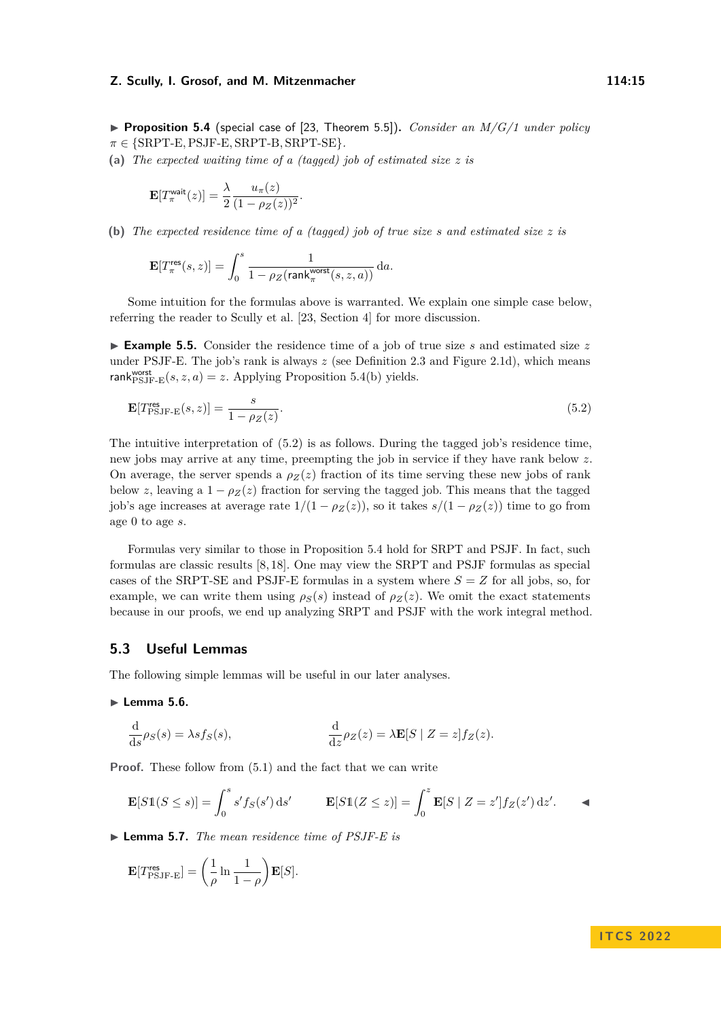▶ **Proposition 5.4** (special case of [\[23,](#page-27-4) Theorem 5.5])**.** *Consider an M/G/1 under policy π* ∈ {SRPT-E*,*PSJF-E*,* SRPT-B*,* SRPT-SE}*.*

<span id="page-14-0"></span>**(a)** *The expected waiting time of a (tagged) job of estimated size z is*

$$
\mathbf{E}[T_{\pi}^{\text{wait}}(z)] = \frac{\lambda}{2} \frac{u_{\pi}(z)}{(1 - \rho_Z(z))^2}.
$$

<span id="page-14-2"></span>**(b)** *The expected residence time of a (tagged) job of true size s and estimated size z is*

$$
\mathbf{E}[T_{\pi}^{\text{res}}(s,z)]=\int_{0}^{s}\frac{1}{1-\rho_{Z}(\text{rank}_{\pi}^{\text{worst}}(s,z,a))}\,\mathrm{d}a.
$$

Some intuition for the formulas above is warranted. We explain one simple case below, referring the reader to Scully et al. [\[23,](#page-27-4) Section 4] for more discussion.

<span id="page-14-5"></span>▶ **Example 5.5.** Consider the residence time of a job of true size *s* and estimated size *z* under PSJF-E. The job's rank is always  $z$  (see Definition [2.3](#page-3-3) and Figure [2.1d\)](#page-4-1), which means rank $_{\mathrm{PSJF-E}}^{\text{worst}}(s, z, a) = z$ . Applying [Proposition 5.4\(b\)](#page-14-2) yields.

<span id="page-14-3"></span>
$$
\mathbf{E}[T_{\mathrm{PSJF-E}}^{\mathrm{res}}(s,z)] = \frac{s}{1 - \rho_Z(z)}.\tag{5.2}
$$

The intuitive interpretation of [\(5.2\)](#page-14-3) is as follows. During the tagged job's residence time, new jobs may arrive at any time, preempting the job in service if they have rank below *z*. On average, the server spends a  $\rho_Z(z)$  fraction of its time serving these new jobs of rank below *z*, leaving a  $1 - \rho_Z(z)$  fraction for serving the tagged job. This means that the tagged job's age increases at average rate  $1/(1 - \rho_Z(z))$ , so it takes  $s/(1 - \rho_Z(z))$  time to go from age 0 to age *s*.

Formulas very similar to those in Proposition [5.4](#page-13-0) hold for SRPT and PSJF. In fact, such formulas are classic results [\[8,](#page-26-2) [18\]](#page-26-11). One may view the SRPT and PSJF formulas as special cases of the SRPT-SE and PSJF-E formulas in a system where  $S = Z$  for all jobs, so, for example, we can write them using  $\rho_S(s)$  instead of  $\rho_Z(z)$ . We omit the exact statements because in our proofs, we end up analyzing SRPT and PSJF with the work integral method.

### **5.3 Useful Lemmas**

<span id="page-14-4"></span>The following simple lemmas will be useful in our later analyses.

### ▶ **Lemma 5.6.**

$$
\frac{\mathrm{d}}{\mathrm{d}z}\rho_S(s) = \lambda s f_S(s), \qquad \frac{\mathrm{d}}{\mathrm{d}z}\rho_Z(z) = \lambda \mathbf{E}[S \mid Z = z] f_Z(z).
$$

**Proof.** These follow from  $(5.1)$  and the fact that we can write

$$
\mathbf{E}[S1(S \le s)] = \int_0^s s' f_S(s') \, \mathrm{d}s' \qquad \mathbf{E}[S1(Z \le z)] = \int_0^z \mathbf{E}[S \mid Z = z'] f_Z(z') \, \mathrm{d}z'.
$$

<span id="page-14-1"></span>▶ **Lemma 5.7.** *The mean residence time of PSJF-E is*

$$
\mathbf{E}[T_{\mathrm{PSJF-E}}^{\mathrm{res}}] = \left(\frac{1}{\rho} \ln \frac{1}{1-\rho}\right) \mathbf{E}[S].
$$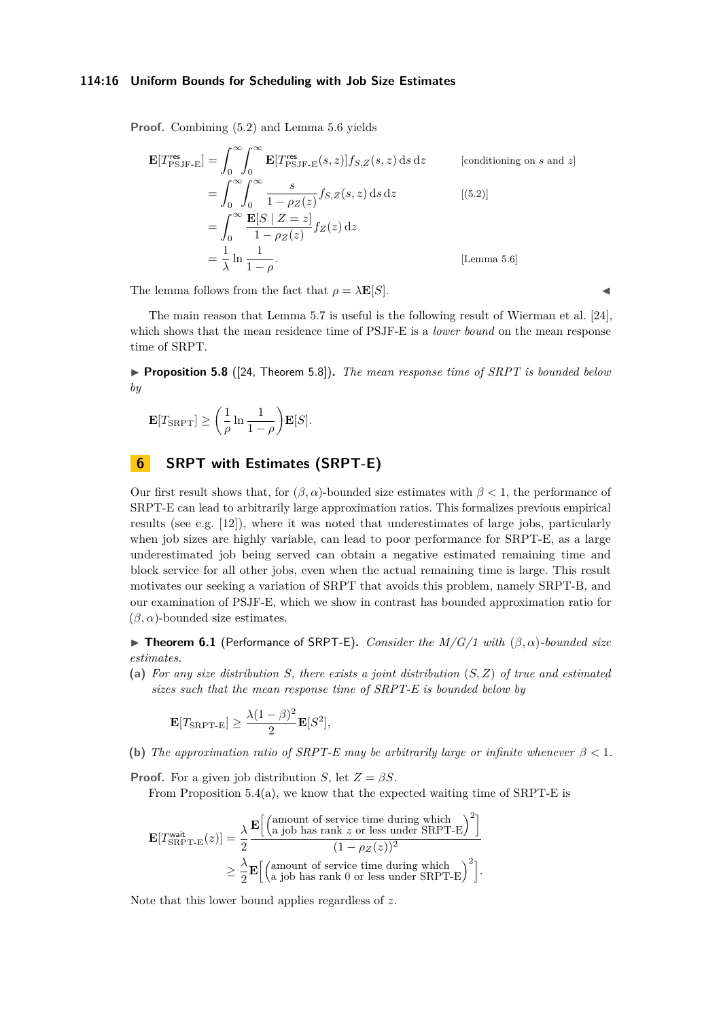### **114:16 Uniform Bounds for Scheduling with Job Size Estimates**

**Proof.** Combining [\(5.2\)](#page-14-3) and Lemma [5.6](#page-14-4) yields

$$
\mathbf{E}[T_{\text{PSJF-E}}^{\text{res}}] = \int_0^\infty \int_0^\infty \mathbf{E}[T_{\text{PSJF-E}}^{\text{res}}(s, z)] f_{S,Z}(s, z) \, ds \, dz \qquad \text{[conditioning on } s \text{ and } z]
$$
\n
$$
= \int_0^\infty \int_0^\infty \frac{s}{1 - \rho_Z(z)} f_{S,Z}(s, z) \, ds \, dz \qquad \text{[ (5.2)]}
$$
\n
$$
= \int_0^\infty \frac{\mathbf{E}[S \mid Z = z]}{1 - \rho_Z(z)} f_Z(z) \, dz
$$
\n
$$
= \frac{1}{\lambda} \ln \frac{1}{1 - \rho}. \qquad \text{[Lemma 5.6]}
$$

The lemma follows from the fact that  $\rho = \lambda \mathbf{E}[S]$ .

The main reason that Lemma [5.7](#page-14-1) is useful is the following result of Wierman et al. [\[24\]](#page-27-3), which shows that the mean residence time of PSJF-E is a *lower bound* on the mean response time of SRPT.

<span id="page-15-1"></span>▶ **Proposition 5.8** ([\[24,](#page-27-3) Theorem 5.8])**.** *The mean response time of SRPT is bounded below by*

$$
\mathbf{E}[T_{\text{SRPT}}] \ge \left(\frac{1}{\rho} \ln \frac{1}{1-\rho}\right) \mathbf{E}[S].
$$

# **6 SRPT with Estimates (SRPT-E)**

Our first result shows that, for  $(\beta, \alpha)$ -bounded size estimates with  $\beta < 1$ , the performance of SRPT-E can lead to arbitrarily large approximation ratios. This formalizes previous empirical results (see e.g. [\[12\]](#page-26-5)), where it was noted that underestimates of large jobs, particularly when job sizes are highly variable, can lead to poor performance for SRPT-E, as a large underestimated job being served can obtain a negative estimated remaining time and block service for all other jobs, even when the actual remaining time is large. This result motivates our seeking a variation of SRPT that avoids this problem, namely SRPT-B, and our examination of PSJF-E, which we show in contrast has bounded approximation ratio for  $(\beta, \alpha)$ -bounded size estimates.

<span id="page-15-0"></span>**► Theorem 6.1** (Performance of SRPT-E). *Consider the M/G/1 with*  $(β, α)$ *-bounded size estimates.*

**(a)** *For any size distribution S, there exists a joint distribution* (*S, Z*) *of true and estimated sizes such that the mean response time of SRPT-E is bounded below by*

$$
\mathbf{E}[T_{\text{SRPT-E}}] \ge \frac{\lambda (1-\beta)^2}{2} \mathbf{E}[S^2],
$$

**(b)** *The approximation ratio of SRPT-E may be arbitrarily large or infinite whenever β <* 1*.*

**Proof.** For a given job distribution *S*, let  $Z = \beta S$ .

From Proposition  $5.4(a)$ , we know that the expected waiting time of SRPT-E is

$$
\mathbf{E}[T_{\text{SRPT-E}}^{\text{wait}}(z)] = \frac{\lambda}{2} \frac{\mathbf{E}\Big[\Big(\text{amount of service time during which }\Big)^2\Big]}{(1-\rho_Z(z))^2}
$$

$$
\geq \frac{\lambda}{2} \mathbf{E}\Big[\Big(\text{amount of service time during which }\Big)^2\Big]}{\Big(\text{amount of service time during which }\Big)^2\Big]}.
$$

Note that this lower bound applies regardless of *z*.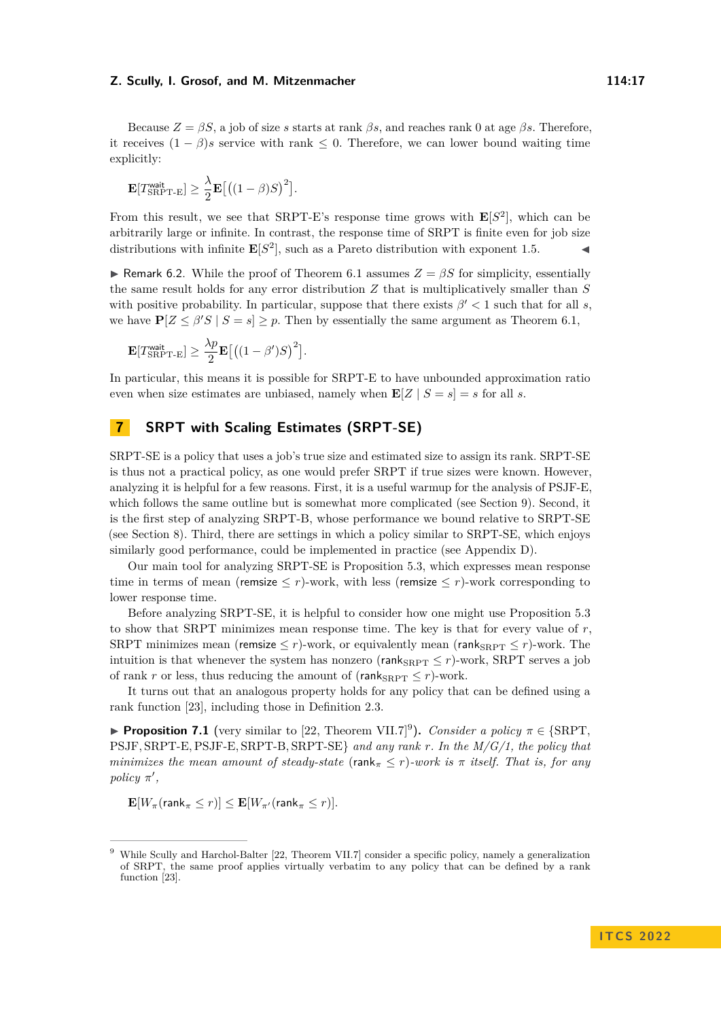Because *Z* = *βS*, a job of size *s* starts at rank *βs*, and reaches rank 0 at age *βs*. Therefore, it receives  $(1 - \beta)s$  service with rank  $\leq 0$ . Therefore, we can lower bound waiting time explicitly:

$$
\mathbf{E}[T_{\text{SRPT-E}}^{\text{wait}}] \geq \frac{\lambda}{2} \mathbf{E}[( (1-\beta)S)^2].
$$

From this result, we see that SRPT-E's response time grows with  $\mathbf{E}[S^2]$ , which can be arbitrarily large or infinite. In contrast, the response time of SRPT is finite even for job size distributions with infinite  $\mathbf{E}[S^2]$ , such as a Pareto distribution with exponent 1.5.

**► Remark 6.2.** While the proof of Theorem [6.1](#page-15-0) assumes  $Z = \beta S$  for simplicity, essentially the same result holds for any error distribution *Z* that is multiplicatively smaller than *S* with positive probability. In particular, suppose that there exists  $\beta' < 1$  such that for all *s*, we have  $P[Z \leq \beta' S \mid S = s] \geq p$ . Then by essentially the same argument as Theorem [6.1,](#page-15-0)

$$
\mathbf{E}[T_{\text{SRPT-E}}^{\text{wait}}] \ge \frac{\lambda p}{2} \mathbf{E}[((1-\beta')S)^2].
$$

In particular, this means it is possible for SRPT-E to have unbounded approximation ratio even when size estimates are unbiased, namely when  $\mathbf{E}[Z \mid S = s] = s$  for all *s*.

# <span id="page-16-0"></span>**7 SRPT with Scaling Estimates (SRPT-SE)**

SRPT-SE is a policy that uses a job's true size and estimated size to assign its rank. SRPT-SE is thus not a practical policy, as one would prefer SRPT if true sizes were known. However, analyzing it is helpful for a few reasons. First, it is a useful warmup for the analysis of PSJF-E, which follows the same outline but is somewhat more complicated (see Section [9\)](#page-22-0). Second, it is the first step of analyzing SRPT-B, whose performance we bound relative to SRPT-SE (see Section [8\)](#page-17-1). Third, there are settings in which a policy similar to SRPT-SE, which enjoys similarly good performance, could be implemented in practice (see Appendix [D\)](#page-28-0).

Our main tool for analyzing SRPT-SE is Proposition [5.3,](#page-12-0) which expresses mean response time in terms of mean (remsize  $\leq r$ )-work, with less (remsize  $\leq r$ )-work corresponding to lower response time.

Before analyzing SRPT-SE, it is helpful to consider how one might use Proposition [5.3](#page-12-0) to show that SRPT minimizes mean response time. The key is that for every value of *r*, SRPT minimizes mean (remsize  $\leq r$ )-work, or equivalently mean (rank<sub>SRPT</sub>  $\leq r$ )-work. The intuition is that whenever the system has nonzero (rank $_{\rm SRPT} \leq r$ )-work, SRPT serves a job of rank *r* or less, thus reducing the amount of (rank $_{\text{SRPT}} \leq r$ )-work.

It turns out that an analogous property holds for any policy that can be defined using a rank function [\[23\]](#page-27-4), including those in Definition [2.3.](#page-3-3)

<span id="page-16-1"></span>▶ **Proposition 7.1** (very similar to [\[22,](#page-26-12) Theorem VII.7]<sup>[9](#page-16-2)</sup>). *Consider a policy*  $π ∈ {SRPT}$ , PSJF*,* SRPT-E*,*PSJF-E*,* SRPT-B*,* SRPT-SE} *and any rank r. In the M/G/1, the policy that minimizes the mean amount of steady-state* (rank $\pi \leq r$ )-work is  $\pi$  *itself. That is, for any policy*  $\pi'$ ,

 $\mathbf{E}[W_{\pi}(\text{rank}_{\pi} \leq r)] \leq \mathbf{E}[W_{\pi}(\text{rank}_{\pi} \leq r)].$ 

<span id="page-16-2"></span><sup>9</sup> While Scully and Harchol-Balter [\[22,](#page-26-12) Theorem VII.7] consider a specific policy, namely a generalization of SRPT, the same proof applies virtually verbatim to any policy that can be defined by a rank function [\[23\]](#page-27-4).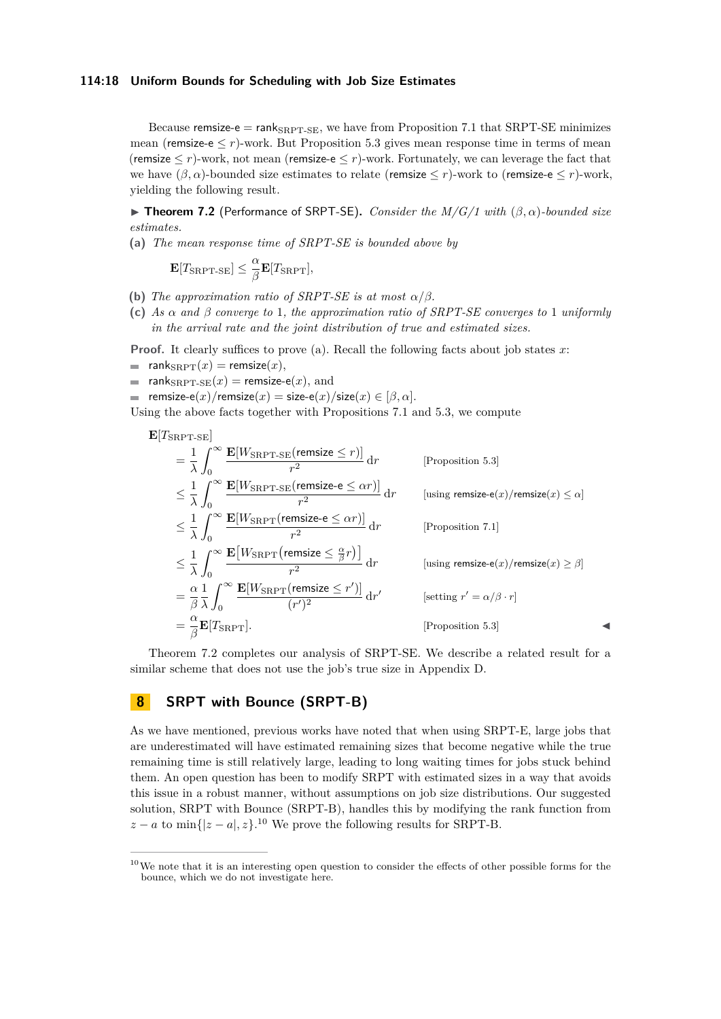### **114:18 Uniform Bounds for Scheduling with Job Size Estimates**

Because remsize-e =  $rank_{SRPT-SE}$ , we have from Proposition [7.1](#page-16-1) that SRPT-SE minimizes mean (remsize-e  $\leq r$ )-work. But Proposition [5.3](#page-12-0) gives mean response time in terms of mean (remsize  $\leq r$ )-work, not mean (remsize-e $\leq r$ )-work. Fortunately, we can leverage the fact that we have  $(\beta, \alpha)$ -bounded size estimates to relate (remsize  $\leq r$ )-work to (remsize-e  $\leq r$ )-work, yielding the following result.

<span id="page-17-0"></span>▶ **Theorem 7.2** (Performance of SRPT-SE)**.** *Consider the M/G/1 with* (*β, α*)*-bounded size estimates.*

<span id="page-17-3"></span>**(a)** *The mean response time of SRPT-SE is bounded above by*

$$
\mathbf{E}[T_{\rm SRPT-SE}] \leq \frac{\alpha}{\beta} \mathbf{E}[T_{\rm SRPT}],
$$

- **(b)** *The approximation ratio of SRPT-SE is at most*  $\alpha/\beta$ *.*
- **(c)** *As α and β converge to* 1*, the approximation ratio of SRPT-SE converges to* 1 *uniformly in the arrival rate and the joint distribution of true and estimated sizes.*

**Proof.** It clearly suffices to prove (a). Recall the following facts about job states *x*:

- $=$  rank $_{\rm SRPT}(x)$  = remsize $(x)$ ,
- **rank** $S_{\text{RPT-SE}}(x)$  = remsize-e(x), and
- remsize-e(*x*)/remsize(*x*) = size-e(*x*)/size(*x*)  $\in [\beta, \alpha]$ .

Using the above facts together with Propositions [7.1](#page-16-1) and [5.3,](#page-12-0) we compute

$$
\mathbf{E}[T_{\text{SRPT-SE}}]
$$
\n
$$
= \frac{1}{\lambda} \int_0^\infty \frac{\mathbf{E}[W_{\text{SRPT-SE}}(\text{remsize} \le r)]}{r^2} dr \qquad \text{[Proposition 5.3]}
$$
\n
$$
\leq \frac{1}{\lambda} \int_0^\infty \frac{\mathbf{E}[W_{\text{SRPT-SE}}(\text{remsize-e} \le \alpha r)]}{r^2} dr \qquad \text{[using remsize-e}(x)/\text{remsize}(x) \le \alpha]
$$
\n
$$
\leq \frac{1}{\lambda} \int_0^\infty \frac{\mathbf{E}[W_{\text{SRPT}}(\text{remsize-e} \le \alpha r)]}{r^2} dr \qquad \text{[Proposition 7.1]}
$$
\n
$$
\leq \frac{1}{\lambda} \int_0^\infty \frac{\mathbf{E}[W_{\text{SRPT}}(\text{remsize} \le \frac{\alpha}{\beta} r)]}{r^2} dr \qquad \text{[using remsize-e}(x)/\text{remsize}(x) \ge \beta]
$$
\n
$$
= \frac{\alpha}{\beta} \frac{1}{\lambda} \int_0^\infty \frac{\mathbf{E}[W_{\text{SRPT}}(\text{remsize} \le r')]}{(r')^2} dr' \qquad \text{[setting } r' = \alpha/\beta \cdot r]
$$
\n
$$
= \frac{\alpha}{\beta} \mathbf{E}[T_{\text{SRPT}}]. \qquad \text{[Proposition 5.3]}
$$

Theorem [7.2](#page-17-0) completes our analysis of SRPT-SE. We describe a related result for a similar scheme that does not use the job's true size in Appendix [D.](#page-28-0)

# <span id="page-17-1"></span>**8 SRPT with Bounce (SRPT-B)**

As we have mentioned, previous works have noted that when using SRPT-E, large jobs that are underestimated will have estimated remaining sizes that become negative while the true remaining time is still relatively large, leading to long waiting times for jobs stuck behind them. An open question has been to modify SRPT with estimated sizes in a way that avoids this issue in a robust manner, without assumptions on job size distributions. Our suggested solution, SRPT with Bounce (SRPT-B), handles this by modifying the rank function from  $z - a$  to min{ $|z - a|, z$ }.<sup>[10](#page-17-2)</sup> We prove the following results for SRPT-B.

<span id="page-17-2"></span> $10$ We note that it is an interesting open question to consider the effects of other possible forms for the bounce, which we do not investigate here.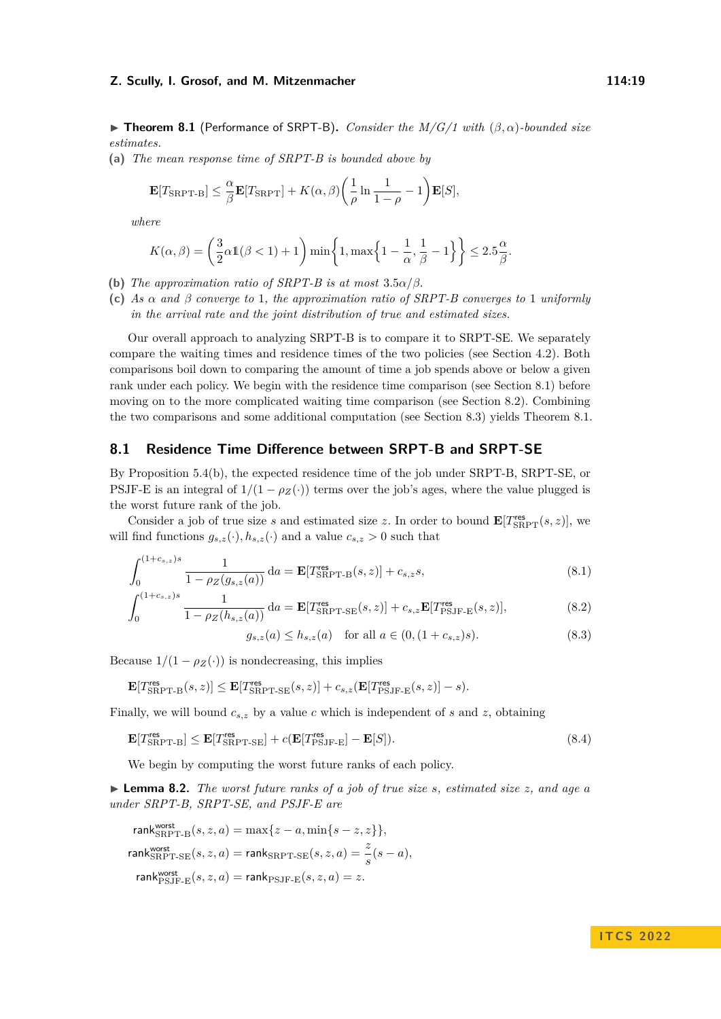▶ **Theorem 8.1** (Performance of SRPT-B)**.** *Consider the M/G/1 with* (*β, α*)*-bounded size estimates.*

<span id="page-18-0"></span>**(a)** *The mean response time of SRPT-B is bounded above by*

$$
\mathbf{E}[T_{\text{SRPT-B}}] \leq \frac{\alpha}{\beta} \mathbf{E}[T_{\text{SRPT}}] + K(\alpha, \beta) \left(\frac{1}{\rho} \ln \frac{1}{1-\rho} - 1\right) \mathbf{E}[S],
$$

*where*

$$
K(\alpha, \beta) = \left(\frac{3}{2}\alpha 1(\beta < 1) + 1\right) \min\left\{1, \max\left\{1 - \frac{1}{\alpha}, \frac{1}{\beta} - 1\right\}\right\} \le 2.5\frac{\alpha}{\beta}.
$$

- **(b)** *The approximation ratio of SRPT-B is at most*  $3.5\alpha/\beta$ *.*
- **(c)** *As α and β converge to* 1*, the approximation ratio of SRPT-B converges to* 1 *uniformly in the arrival rate and the joint distribution of true and estimated sizes.*

Our overall approach to analyzing SRPT-B is to compare it to SRPT-SE. We separately compare the waiting times and residence times of the two policies (see Section [4.2\)](#page-9-2). Both comparisons boil down to comparing the amount of time a job spends above or below a given rank under each policy. We begin with the residence time comparison (see Section [8.1\)](#page-18-1) before moving on to the more complicated waiting time comparison (see Section [8.2\)](#page-20-1). Combining the two comparisons and some additional computation (see Section [8.3\)](#page-21-0) yields Theorem [8.1.](#page-15-0)

## <span id="page-18-1"></span>**8.1 Residence Time Difference between SRPT-B and SRPT-SE**

By [Proposition 5.4\(b\),](#page-14-2) the expected residence time of the job under SRPT-B, SRPT-SE, or PSJF-E is an integral of  $1/(1 - \rho_Z(\cdot))$  terms over the job's ages, where the value plugged is the worst future rank of the job.

Consider a job of true size *s* and estimated size *z*. In order to bound  $\mathbf{E}[T_{SRPT}^{\text{res}}(s,z)]$ , we will find functions  $g_{s,z}(\cdot), h_{s,z}(\cdot)$  and a value  $c_{s,z} > 0$  such that

$$
\int_0^{(1+c_{s,z})s} \frac{1}{1 - \rho_Z(g_{s,z}(a))} da = \mathbf{E}[T_{\text{SRPT-B}}^{\text{res}}(s,z)] + c_{s,z}s,
$$
\n(8.1)

$$
\int_0^{(1+c_{s,z})s} \frac{1}{1 - \rho_Z(h_{s,z}(a))} da = \mathbf{E}[T_{\text{SRPT-SE}}^{\text{res}}(s,z)] + c_{s,z} \mathbf{E}[T_{\text{PSJF-E}}^{\text{res}}(s,z)],\tag{8.2}
$$

<span id="page-18-5"></span><span id="page-18-2"></span>
$$
g_{s,z}(a) \le h_{s,z}(a) \quad \text{for all } a \in (0, (1+c_{s,z})s). \tag{8.3}
$$

Because  $1/(1 - \rho_Z(\cdot))$  is nondecreasing, this implies

$$
\mathbf{E}[T_{\text{SRPT-B}}^{\text{res}}(s,z)] \leq \mathbf{E}[T_{\text{SRPT-SE}}^{\text{res}}(s,z)] + c_{s,z}(\mathbf{E}[T_{\text{PSJF-E}}^{\text{res}}(s,z)] - s).
$$

Finally, we will bound *cs,z* by a value *c* which is independent of *s* and *z*, obtaining

$$
\mathbf{E}[T_{\text{SRPT-B}}^{\text{res}}] \le \mathbf{E}[T_{\text{SRPT-SE}}^{\text{res}}] + c(\mathbf{E}[T_{\text{PSJF-E}}^{\text{res}}] - \mathbf{E}[S]). \tag{8.4}
$$

We begin by computing the worst future ranks of each policy.

<span id="page-18-4"></span>▶ **Lemma 8.2.** *The worst future ranks of a job of true size s, estimated size z, and age a under SRPT-B, SRPT-SE, and PSJF-E are*

$$
\begin{aligned} &\text{rank}_{\text{SRPT-B}}^{\text{worst}}(s,z,a) = \max\{z-a,\min\{s-z,z\}\},\\ &\text{rank}_{\text{SRPT-SE}}^{\text{worst}}(s,z,a) = \text{rank}_{\text{SRPT-SE}}(s,z,a) = \frac{z}{s}(s-a),\\ &\text{rank}_{\text{PSJF-E}}^{\text{worst}}(s,z,a) = \text{rank}_{\text{PSJF-E}}(s,z,a) = z. \end{aligned}
$$

# <span id="page-18-6"></span><span id="page-18-3"></span>**I T C S 2 0 2 2**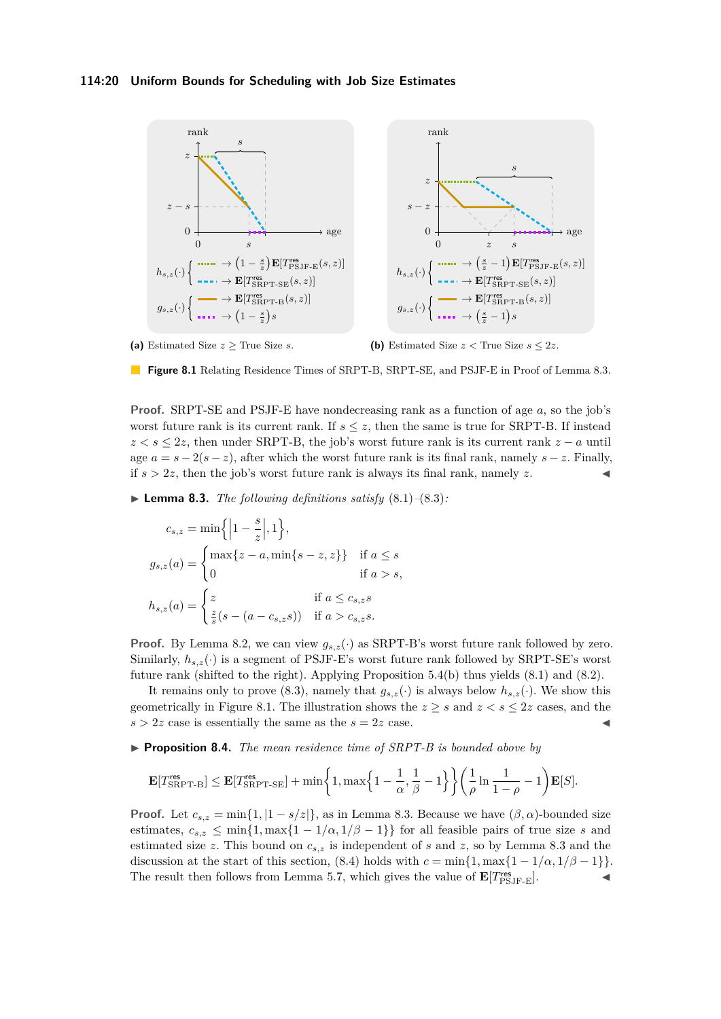### **114:20 Uniform Bounds for Scheduling with Job Size Estimates**

<span id="page-19-0"></span>

(a) Estimated Size  $z \geq$  True Size *s*.

**(b)** Estimated Size  $z <$  True Size  $s \leq 2z$ .

**Figure 8.1** Relating Residence Times of SRPT-B, SRPT-SE, and PSJF-E in Proof of Lemma [8.3.](#page-19-1)

**Proof.** SRPT-SE and PSJF-E have nondecreasing rank as a function of age *a*, so the job's worst future rank is its current rank. If  $s \leq z$ , then the same is true for SRPT-B. If instead  $z < s \leq 2z$ , then under SRPT-B, the job's worst future rank is its current rank  $z - a$  until age  $a = s - 2(s - z)$ , after which the worst future rank is its final rank, namely  $s - z$ . Finally, if  $s > 2z$ , then the job's worst future rank is always its final rank, namely z.

<span id="page-19-1"></span> $\blacktriangleright$  **Lemma 8.3.** *The following definitions satisfy*  $(8.1)$ – $(8.3)$ *:* 

$$
c_{s,z} = \min\left\{\left|1 - \frac{s}{z}\right|, 1\right\},
$$
  
\n
$$
g_{s,z}(a) = \begin{cases} \max\{z - a, \min\{s - z, z\}\} & \text{if } a \le s\\ 0 & \text{if } a > s, \end{cases}
$$
  
\n
$$
h_{s,z}(a) = \begin{cases} z & \text{if } a \le c_{s,z}s\\ \frac{z}{s}(s - (a - c_{s,z}s)) & \text{if } a > c_{s,z}s. \end{cases}
$$

**Proof.** By Lemma [8.2,](#page-18-4) we can view  $g_{s,z}(\cdot)$  as SRPT-B's worst future rank followed by zero. Similarly,  $h_{s,z}(\cdot)$  is a segment of PSJF-E's worst future rank followed by SRPT-SE's worst future rank (shifted to the right). Applying [Proposition 5.4\(b\)](#page-14-2) thus yields [\(8.1\)](#page-18-2) and [\(8.2\)](#page-18-5).

It remains only to prove [\(8.3\)](#page-18-3), namely that  $g_{s,z}(\cdot)$  is always below  $h_{s,z}(\cdot)$ . We show this geometrically in Figure [8.1.](#page-19-0) The illustration shows the  $z \geq s$  and  $z < s \leq 2z$  cases, and the  $s > 2z$  case is essentially the same as the  $s = 2z$  case.

▶ **Proposition 8.4.** *The mean residence time of SRPT-B is bounded above by*

$$
\mathbf{E}[T_{\text{SRPT-B}}^{\text{res}}] \leq \mathbf{E}[T_{\text{SRPT-SE}}^{\text{res}}] + \min\bigg\{1, \max\Big\{1-\frac{1}{\alpha}, \frac{1}{\beta}-1\Big\}\bigg\}\bigg(\frac{1}{\rho}\ln\frac{1}{1-\rho}-1\bigg)\mathbf{E}[S].
$$

**Proof.** Let  $c_{s,z} = \min\{1, |1-s/z|\}$ , as in Lemma [8.3.](#page-19-1) Because we have  $(\beta, \alpha)$ -bounded size estimates,  $c_{s,z} \le \min\{1, \max\{1 - 1/\alpha, 1/\beta - 1\}\}\$ for all feasible pairs of true size *s* and estimated size *z*. This bound on *cs,z* is independent of *s* and *z*, so by Lemma [8.3](#page-19-1) and the discussion at the start of this section, [\(8.4\)](#page-18-6) holds with  $c = \min\{1, \max\{1 - 1/\alpha, 1/\beta - 1\}\}\.$ The result then follows from Lemma [5.7,](#page-14-1) which gives the value of  $\mathbf{E}[T_{\text{PSJF-E}}^{\text{res}}]$ .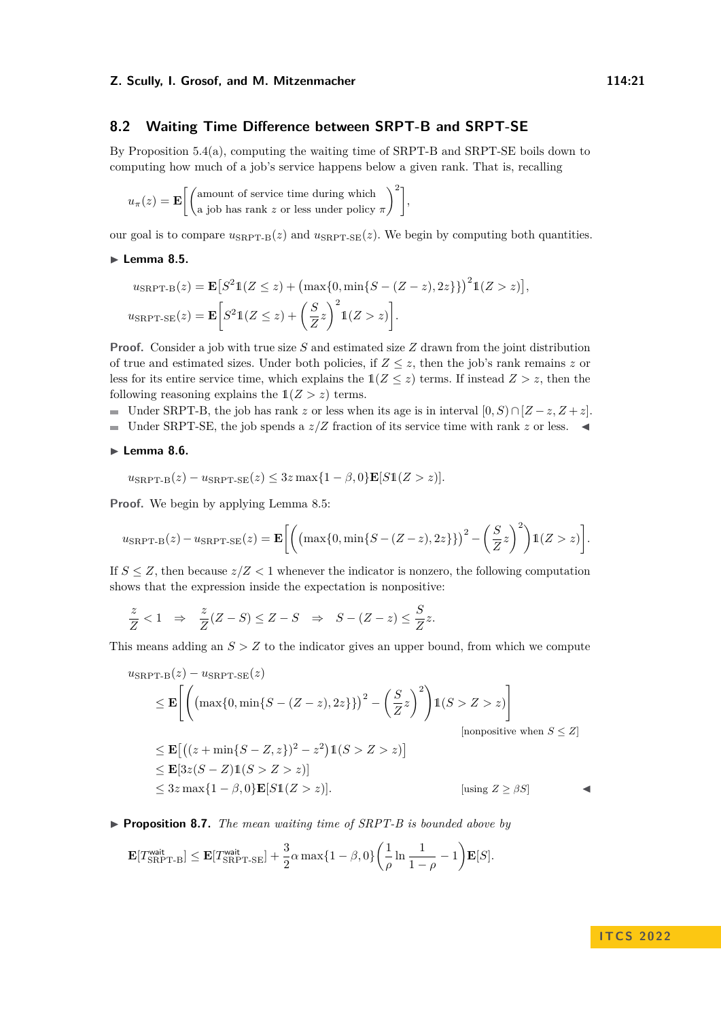# <span id="page-20-1"></span>**8.2 Waiting Time Difference between SRPT-B and SRPT-SE**

By [Proposition 5.4\(a\),](#page-14-0) computing the waiting time of SRPT-B and SRPT-SE boils down to computing how much of a job's service happens below a given rank. That is, recalling

$$
u_{\pi}(z) = \mathbf{E}\left[\begin{pmatrix} \text{amount of service time during which} \\ \text{a job has rank } z \text{ or less under policy } \pi \end{pmatrix}^2\right],
$$

our goal is to compare  $u_{\text{SRPT-B}}(z)$  and  $u_{\text{SRPT-SE}}(z)$ . We begin by computing both quantities.

### <span id="page-20-2"></span>▶ **Lemma 8.5.**

$$
u_{\rm SRPT-B}(z) = \mathbf{E}\big[S^2 \mathbb{1}(Z \le z) + \big(\max\{0, \min\{S - (Z - z), 2z\}\}\big)^2 \mathbb{1}(Z > z)\big],
$$
  

$$
u_{\rm SRPT-SE}(z) = \mathbf{E}\bigg[S^2 \mathbb{1}(Z \le z) + \bigg(\frac{S}{Z}z\bigg)^2 \mathbb{1}(Z > z)\bigg].
$$

**Proof.** Consider a job with true size *S* and estimated size *Z* drawn from the joint distribution of true and estimated sizes. Under both policies, if  $Z \leq z$ , then the job's rank remains z or less for its entire service time, which explains the  $1(Z \leq z)$  terms. If instead  $Z > z$ , then the following reasoning explains the  $1(Z > z)$  terms.

- Under SRPT-B, the job has rank *z* or less when its age is in interval  $[0, S) \cap [Z z, Z + z]$ .
- Under SRPT-SE, the job spends a  $z/Z$  fraction of its service time with rank  $z$  or less. ◀

### ▶ **Lemma 8.6.**

$$
u_{\rm SRPT-B}(z) - u_{\rm SRPT-SE}(z) \leq 3z \max\{1 - \beta, 0\} \mathbf{E}[S1(Z > z)].
$$

**Proof.** We begin by applying Lemma [8.5:](#page-20-2)

$$
u_{\rm SRPT\text{-}B}(z) - u_{\rm SRPT\text{-}SE}(z) = \mathbf{E}\bigg[ \bigg( \big( \max\{0, \min\{S - (Z-z), 2z\}\}\big)^2 - \bigg(\frac{S}{Z}z\bigg)^2 \bigg) \mathbb{1}(Z > z) \bigg].
$$

If  $S \leq Z$ , then because  $z/Z < 1$  whenever the indicator is nonzero, the following computation shows that the expression inside the expectation is nonpositive:

$$
\frac{z}{Z} < 1 \quad \Rightarrow \quad \frac{z}{Z}(Z - S) \leq Z - S \quad \Rightarrow \quad S - (Z - z) \leq \frac{S}{Z}z.
$$

This means adding an  $S > Z$  to the indicator gives an upper bound, from which we compute

$$
u_{\text{SRPT-B}}(z) - u_{\text{SRPT-SE}}(z)
$$
  
\n
$$
\leq \mathbf{E}\left[\left((\max\{0, \min\{S - (Z - z), 2z\}\})^2 - \left(\frac{S}{Z}z\right)^2\right)1(S > Z > z)\right]
$$
  
\n
$$
\leq \mathbf{E}\left[\left((z + \min\{S - Z, z\})^2 - z^2\right)1(S > Z > z)\right]
$$
  
\n
$$
\leq \mathbf{E}[3z(S - Z)1(S > Z > z)]
$$
  
\n
$$
\leq 3z \max\{1 - \beta, 0\} \mathbf{E}[S1(Z > z)].
$$
  
\n
$$
\left[\text{using } Z \geq \beta S\right]
$$

<span id="page-20-0"></span>▶ **Proposition 8.7.** *The mean waiting time of SRPT-B is bounded above by*

$$
\mathbf{E}[T_{\text{SRPT-B}}^{\text{wait}}] \leq \mathbf{E}[T_{\text{SRPT-SE}}^{\text{wait}}] + \frac{3}{2}\alpha \max\{1-\beta, 0\} \bigg(\frac{1}{\rho} \ln \frac{1}{1-\rho} - 1\bigg) \mathbf{E}[S].
$$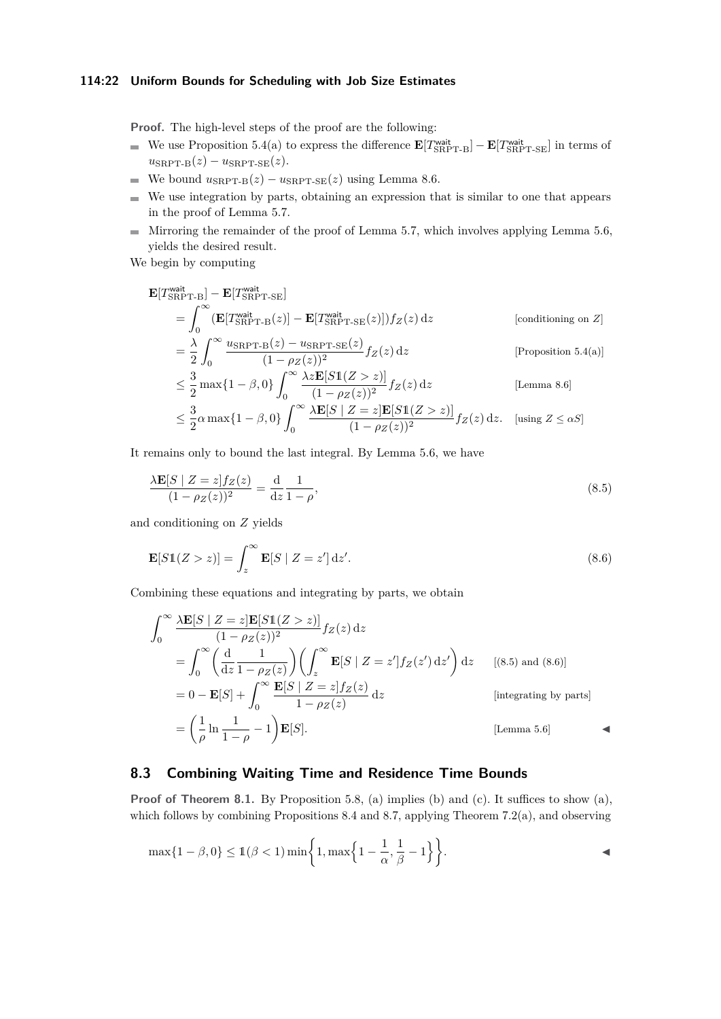### **114:22 Uniform Bounds for Scheduling with Job Size Estimates**

**Proof.** The high-level steps of the proof are the following:

- We use [Proposition 5.4\(a\)](#page-14-0) to express the difference  $\mathbf{E}[T_{SRPT-B}^{\text{wait}}] \mathbf{E}[T_{SRPT-SE}^{\text{wait}}]$  in terms of  $u_{\text{SRPT-B}}(z) - u_{\text{SRPT-SE}}(z)$ .
- We bound  $u_{\text{SRPT-B}}(z) u_{\text{SRPT-SE}}(z)$  using Lemma [8.6.](#page-14-4)
- $\blacksquare$  We use integration by parts, obtaining an expression that is similar to one that appears in the proof of Lemma [5.7.](#page-14-1)
- $\blacksquare$  Mirroring the remainder of the proof of Lemma [5.7,](#page-14-1) which involves applying Lemma [5.6,](#page-14-4) yields the desired result.

We begin by computing

$$
\mathbf{E}[T_{\text{SRPT-B}}^{\text{wait}}] - \mathbf{E}[T_{\text{SRPT-SE}}^{\text{wait}}]
$$
\n
$$
= \int_0^\infty (\mathbf{E}[T_{\text{SRPT-B}}^{\text{wait}}(z)] - \mathbf{E}[T_{\text{SRPT-SE}}^{\text{wait}}(z)]) f_Z(z) dz \qquad \text{[conditioning on Z]}
$$
\n
$$
= \frac{\lambda}{2} \int_0^\infty \frac{u_{\text{SRPT-B}}(z) - u_{\text{SRPT-SE}}(z)}{(1 - \rho_Z(z))^2} f_Z(z) dz \qquad \text{[Proposition 5.4(a)]}
$$
\n
$$
= \frac{3}{2} \int_0^\infty \frac{u_{\text{SRPT-B}}(z) - u_{\text{SRPT-SE}}(z)}{(1 - \rho_Z(z))^2} f_Z(z) dz \qquad \text{[Proposition 5.4(a)]}
$$

$$
\leq \frac{3}{2} \max\{1-\beta, 0\} \int_0^\infty \frac{\lambda z \mathbf{E}[S1(Z > z)]}{(1 - \rho_Z(z))^2} f_Z(z) dz
$$
 [Lemma 8.6]  

$$
\leq 3 \qquad (1 - \beta, 0) \int_0^\infty \lambda \mathbf{E}[S \mid Z = z] \mathbf{E}[S1(Z > z)] \cdot (1 - \rho_Z(z))^2 dz
$$

<span id="page-21-1"></span>
$$
\leq \frac{3}{2}\alpha \max\{1-\beta,0\} \int_0^\infty \frac{\lambda \mathbf{E}[S \mid Z=z] \mathbf{E}[S1(Z>z)]}{(1-\rho_Z(z))^2} f_Z(z) \,dz. \quad \text{[using } Z \leq \alpha S]
$$

It remains only to bound the last integral. By Lemma [5.6,](#page-14-4) we have

$$
\frac{\lambda \mathbf{E}[S \mid Z = z] f_Z(z)}{(1 - \rho_Z(z))^2} = \frac{d}{dz} \frac{1}{1 - \rho},\tag{8.5}
$$

and conditioning on *Z* yields

<span id="page-21-2"></span>
$$
\mathbf{E}[S1(Z > z)] = \int_{z}^{\infty} \mathbf{E}[S \mid Z = z'] dz'.
$$
\n(8.6)

Combining these equations and integrating by parts, we obtain

$$
\int_0^\infty \frac{\lambda \mathbf{E}[S \mid Z = z] \mathbf{E}[S1(Z > z)]}{(1 - \rho_Z(z))^2} f_Z(z) dz
$$
  
\n
$$
= \int_0^\infty \left(\frac{d}{dz} \frac{1}{1 - \rho_Z(z)}\right) \left(\int_z^\infty \mathbf{E}[S \mid Z = z'] f_Z(z') dz'\right) dz \qquad [(8.5) \text{ and } (8.6)]
$$
  
\n
$$
= 0 - \mathbf{E}[S] + \int_0^\infty \frac{\mathbf{E}[S \mid Z = z] f_Z(z)}{1 - \rho_Z(z)} dz \qquad \text{[integrating by parts]}
$$
  
\n
$$
= \left(\frac{1}{\rho} \ln \frac{1}{1 - \rho} - 1\right) \mathbf{E}[S]. \qquad \text{[Lemma 5.6]}
$$

# <span id="page-21-0"></span>**8.3 Combining Waiting Time and Residence Time Bounds**

**Proof of Theorem [8.1.](#page-15-0)** By Proposition [5.8,](#page-15-1) (a) implies (b) and (c). It suffices to show (a), which follows by combining Propositions [8.4](#page-13-0) and [8.7,](#page-20-0) applying [Theorem 7.2\(a\),](#page-17-3) and observing

$$
\max\{1-\beta, 0\} \le \mathbb{1}(\beta < 1) \min\biggl\{1, \max\Bigl\{1-\frac{1}{\alpha}, \frac{1}{\beta}-1\Bigr\}\biggr\}.
$$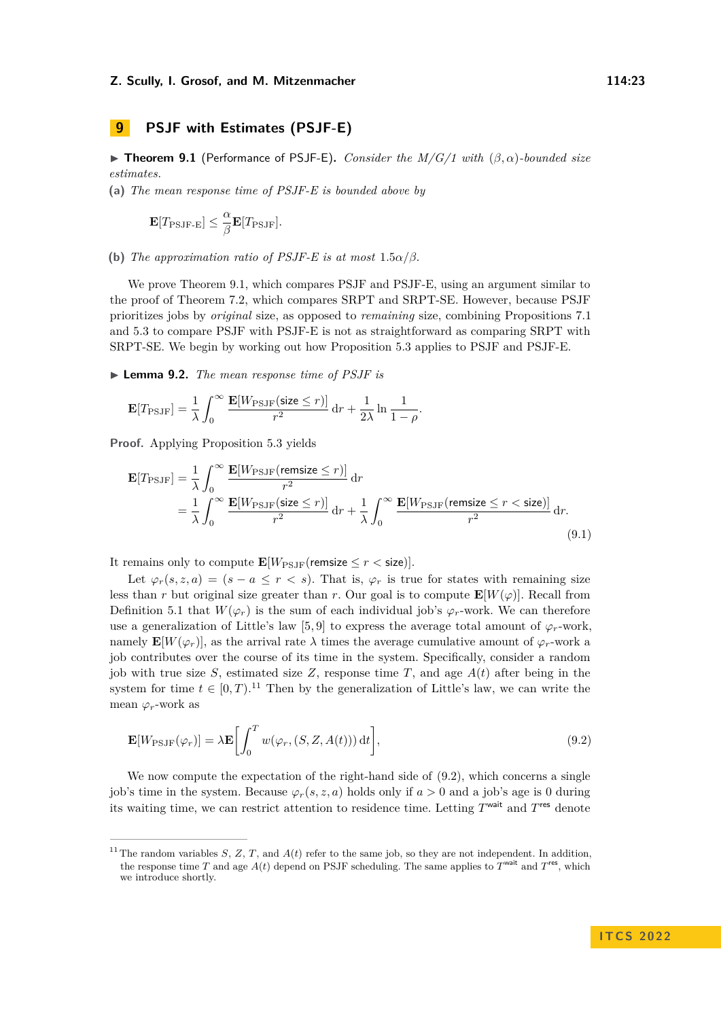# <span id="page-22-0"></span>**9 PSJF with Estimates (PSJF-E)**

▶ **Theorem 9.1** (Performance of PSJF-E)**.** *Consider the M/G/1 with* (*β, α*)*-bounded size estimates.*

**(a)** *The mean response time of PSJF-E is bounded above by*

$$
\mathbf{E}[T_{\mathrm{PSJF-E}}] \leq \frac{\alpha}{\beta} \mathbf{E}[T_{\mathrm{PSJF}}].
$$

**(b)** *The approximation ratio of PSJF-E is at most*  $1.5\alpha/\beta$ *.* 

We prove Theorem [9.1,](#page-15-0) which compares PSJF and PSJF-E, using an argument similar to the proof of Theorem [7.2,](#page-17-0) which compares SRPT and SRPT-SE. However, because PSJF prioritizes jobs by *original* size, as opposed to *remaining* size, combining Propositions [7.1](#page-16-1) and [5.3](#page-12-0) to compare PSJF with PSJF-E is not as straightforward as comparing SRPT with SRPT-SE. We begin by working out how Proposition [5.3](#page-12-0) applies to PSJF and PSJF-E.

▶ **Lemma 9.2.** *The mean response time of PSJF is*

$$
\mathbf{E}[T_{\mathrm{PSJF}}] = \frac{1}{\lambda} \int_0^\infty \frac{\mathbf{E}[W_{\mathrm{PSJF}}(\text{size} \le r)]}{r^2} \,\mathrm{d}r + \frac{1}{2\lambda} \ln \frac{1}{1-\rho}.
$$

**Proof.** Applying Proposition [5.3](#page-12-0) yields

<span id="page-22-3"></span>
$$
\mathbf{E}[T_{\rm PSJF}] = \frac{1}{\lambda} \int_0^\infty \frac{\mathbf{E}[W_{\rm PSJF}(\text{remsize} \le r)]}{r^2} dr
$$
  
=  $\frac{1}{\lambda} \int_0^\infty \frac{\mathbf{E}[W_{\rm PSJF}(\text{size} \le r)]}{r^2} dr + \frac{1}{\lambda} \int_0^\infty \frac{\mathbf{E}[W_{\rm PSJF}(\text{remsize} \le r < \text{size})]}{r^2} dr.$  (9.1)

It remains only to compute  $\mathbf{E}[W_{\text{PSJF}}(\text{remsize} \leq r < \text{size})].$ 

Let  $\varphi_r(s, z, a) = (s - a \leq r \leq s)$ . That is,  $\varphi_r$  is true for states with remaining size less than *r* but original size greater than *r*. Our goal is to compute  $\mathbf{E}[W(\varphi)]$ . Recall from Definition [5.1](#page-3-1) that  $W(\varphi_r)$  is the sum of each individual job's  $\varphi_r$ -work. We can therefore use a generalization of Little's law [\[5,](#page-26-13)9] to express the average total amount of  $\varphi_r$ -work, namely  $\mathbf{E}[W(\varphi_r)]$ , as the arrival rate  $\lambda$  times the average cumulative amount of  $\varphi_r$ -work a job contributes over the course of its time in the system. Specifically, consider a random job with true size *S*, estimated size *Z*, response time *T*, and age  $A(t)$  after being in the system for time  $t \in [0, T)$ .<sup>[11](#page-22-1)</sup> Then by the generalization of Little's law, we can write the mean  $\varphi_r$ -work as

<span id="page-22-2"></span>
$$
\mathbf{E}[W_{\rm{PSJF}}(\varphi_r)] = \lambda \mathbf{E} \left[ \int_0^T w(\varphi_r, (S, Z, A(t))) dt \right],
$$
\n(9.2)

We now compute the expectation of the right-hand side of  $(9.2)$ , which concerns a single job's time in the system. Because  $\varphi_r(s, z, a)$  holds only if  $a > 0$  and a job's age is 0 during its waiting time, we can restrict attention to residence time. Letting *T* wait and *T* res denote

<span id="page-22-1"></span><sup>&</sup>lt;sup>11</sup>The random variables *S*, *Z*, *T*, and  $A(t)$  refer to the same job, so they are not independent. In addition, the response time *T* and age  $A(t)$  depend on PSJF scheduling. The same applies to  $T^{\text{wait}}$  and  $T^{\text{res}}$ , which we introduce shortly.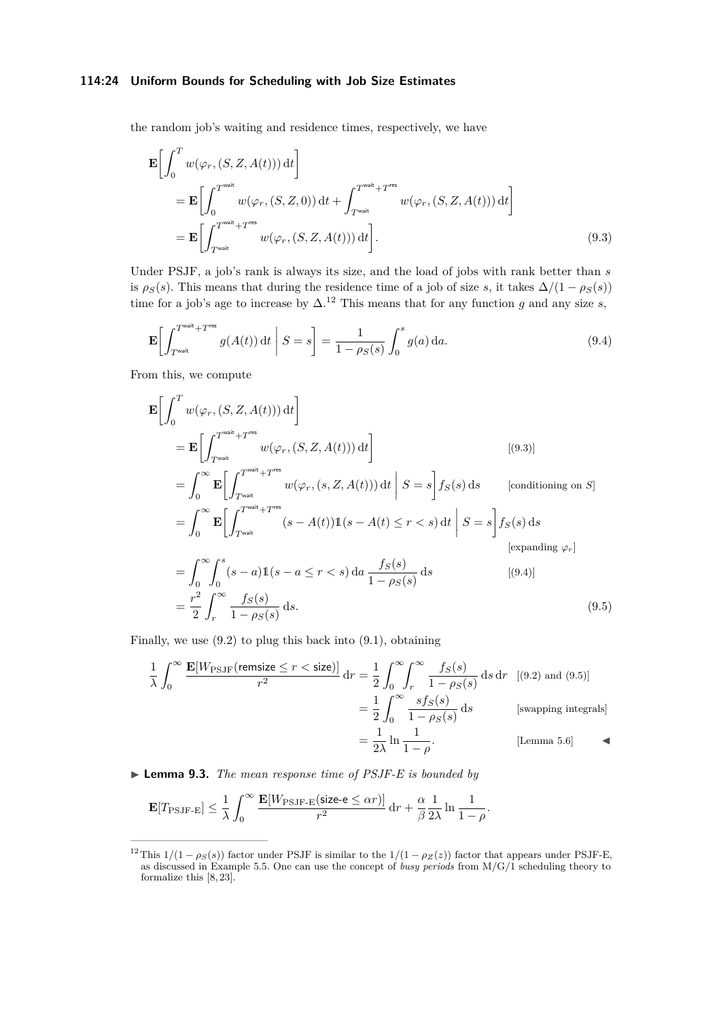### **114:24 Uniform Bounds for Scheduling with Job Size Estimates**

the random job's waiting and residence times, respectively, we have

<span id="page-23-1"></span>
$$
\mathbf{E}\left[\int_{0}^{T} w(\varphi_r, (S, Z, A(t))) dt\right]
$$
\n
$$
= \mathbf{E}\left[\int_{0}^{T^{\text{wait}}} w(\varphi_r, (S, Z, 0)) dt + \int_{T^{\text{wait}}}^{T^{\text{wait}} + T^{\text{res}}} w(\varphi_r, (S, Z, A(t))) dt\right]
$$
\n
$$
= \mathbf{E}\left[\int_{T^{\text{wait}}}^{T^{\text{wait}} + T^{\text{res}}} w(\varphi_r, (S, Z, A(t))) dt\right].
$$
\n(9.3)

Under PSJF, a job's rank is always its size, and the load of jobs with rank better than *s* is  $\rho_S(s)$ . This means that during the residence time of a job of size *s*, it takes  $\Delta/(1 - \rho_S(s))$ time for a job's age to increase by  $\Delta$ <sup>[12](#page-23-0)</sup>. This means that for any function *g* and any size *s*,

<span id="page-23-2"></span>
$$
\mathbf{E}\left[\int_{T^{\text{wait}}}^{T^{\text{wait}}+T^{\text{res}}} g(A(t)) \, \mathrm{d}t \mid S = s\right] = \frac{1}{1 - \rho_S(s)} \int_0^s g(a) \, \mathrm{d}a. \tag{9.4}
$$

From this, we compute

$$
\mathbf{E}\left[\int_{0}^{T} w(\varphi_{r},(S,Z,A(t))) dt\right]
$$
\n
$$
= \mathbf{E}\left[\int_{T^{\text{wait}}}^{T^{\text{wait}}+T^{\text{res}}} w(\varphi_{r},(S,Z,A(t))) dt\right]
$$
\n
$$
= \int_{0}^{\infty} \mathbf{E}\left[\int_{T^{\text{wait}}}^{T^{\text{wait}}+T^{\text{res}}} w(\varphi_{r},(s,Z,A(t))) dt \mid S=s\right] f_{S}(s) ds \qquad \text{[conditioning on S]}
$$
\n
$$
= \int_{0}^{\infty} \mathbf{E}\left[\int_{T^{\text{wait}}}^{T^{\text{wait}}+T^{\text{res}}} (s-A(t)) \mathbf{1}(s-A(t) \leq r < s) dt \mid S=s\right] f_{S}(s) ds \qquad \text{[expanding } \varphi_{r}]
$$
\n
$$
= \int_{0}^{\infty} \int_{0}^{s} (s-a) \mathbf{1}(s-a \leq r < s) da \frac{f_{S}(s)}{1-\rho_{S}(s)} ds \qquad \text{[(9.4)]}
$$
\n
$$
= \frac{r^{2}}{2} \int_{r}^{\infty} \frac{f_{S}(s)}{1-\rho_{S}(s)} ds. \qquad (9.5)
$$

Finally, we use [\(9.2\)](#page-22-2) to plug this back into [\(9.1\)](#page-22-3), obtaining

<span id="page-23-3"></span>
$$
\frac{1}{\lambda} \int_0^\infty \frac{\mathbf{E}[W_{\rm{PSJF}}(\text{remsize} \le r < \text{size})]}{r^2} \, \mathrm{d}r = \frac{1}{2} \int_0^\infty \int_r^\infty \frac{f_S(s)}{1 - \rho_S(s)} \, \mathrm{d}s \, \mathrm{d}r \quad [(9.2) \text{ and } (9.5)]
$$
\n
$$
= \frac{1}{2} \int_0^\infty \frac{s f_S(s)}{1 - \rho_S(s)} \, \mathrm{d}s \qquad \text{[swapping integrals]}
$$
\n
$$
= \frac{1}{2\lambda} \ln \frac{1}{1 - \rho}. \qquad \text{[Lemma 5.6]}
$$

▶ **Lemma 9.3.** *The mean response time of PSJF-E is bounded by*

$$
\mathbf{E}[T_{\rm{PSJF-E}}] \leq \frac{1}{\lambda} \int_0^\infty \frac{\mathbf{E}[W_{\rm{PSJF-E}}(\text{size-e} \leq \alpha r)]}{r^2} \, \mathrm{d}r + \frac{\alpha}{\beta} \frac{1}{2\lambda} \ln \frac{1}{1-\rho}.
$$

<span id="page-23-0"></span><sup>&</sup>lt;sup>12</sup>This  $1/(1 - \rho_S(s))$  factor under PSJF is similar to the  $1/(1 - \rho_Z(z))$  factor that appears under PSJF-E, as discussed in Example [5.5.](#page-14-5) One can use the concept of *busy periods* from M/G/1 scheduling theory to formalize this [\[8,](#page-26-2) [23\]](#page-27-4).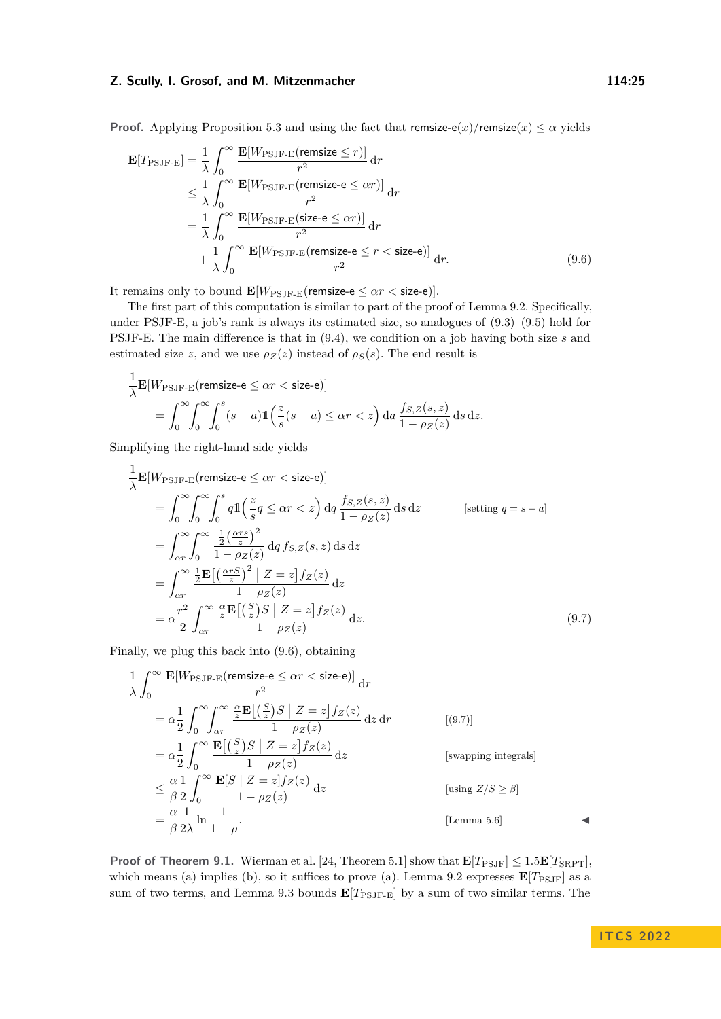**Proof.** Applying Proposition [5.3](#page-12-0) and using the fact that remsize-e(*x*)/remsize(*x*)  $\leq \alpha$  yields

<span id="page-24-0"></span>
$$
\mathbf{E}[T_{\text{PSJF-E}}] = \frac{1}{\lambda} \int_0^\infty \frac{\mathbf{E}[W_{\text{PSJF-E}}(\text{remsize} \le r)]}{r^2} dr
$$
  
\n
$$
\le \frac{1}{\lambda} \int_0^\infty \frac{\mathbf{E}[W_{\text{PSJF-E}}(\text{remsize-e} \le \alpha r)]}{r^2} dr
$$
  
\n
$$
= \frac{1}{\lambda} \int_0^\infty \frac{\mathbf{E}[W_{\text{PSJF-E}}(\text{size-e} \le \alpha r)]}{r^2} dr
$$
  
\n
$$
+ \frac{1}{\lambda} \int_0^\infty \frac{\mathbf{E}[W_{\text{PSJF-E}}(\text{remsize-e} \le r < \text{size-e})]}{r^2} dr.
$$
 (9.6)

It remains only to bound  $\mathbf{E}[W_{\text{PSJF-E}}(\text{remsize-e} \leq \alpha r < \text{size-e})].$ 

The first part of this computation is similar to part of the proof of Lemma [9.2.](#page-18-4) Specifically, under PSJF-E, a job's rank is always its estimated size, so analogues of [\(9.3\)](#page-23-1)–[\(9.5\)](#page-23-3) hold for PSJF-E. The main difference is that in [\(9.4\)](#page-23-2), we condition on a job having both size *s* and estimated size *z*, and we use  $\rho_Z(z)$  instead of  $\rho_S(s)$ . The end result is

$$
\frac{1}{\lambda} \mathbf{E}[W_{\text{PSJF-E}}(\text{remsize-e} \leq \alpha r < \text{size-e})] \n= \int_0^\infty \int_0^\infty \int_0^s (s-a) \mathbb{1}\left(\frac{z}{s}(s-a) \leq \alpha r < z\right) \mathrm{d}a \, \frac{f_{S,Z}(s,z)}{1-\rho_Z(z)} \, \mathrm{d}s \, \mathrm{d}z.
$$

Simplifying the right-hand side yields

$$
\frac{1}{\lambda} \mathbf{E}[W_{\text{PSJF-E}}(\text{remsize-e} \leq \alpha r < \text{size-e})] \n= \int_0^\infty \int_0^\infty \int_0^s q \mathbf{1} \left( \frac{z}{s} q \leq \alpha r < z \right) dq \frac{f_{S,Z}(s,z)}{1 - \rho_Z(z)} \, \text{d} s \, \text{d} z \qquad \text{[setting } q = s - a] \n= \int_{\alpha r}^\infty \int_0^\infty \frac{\frac{1}{2} \left( \frac{\alpha r s}{z} \right)^2}{1 - \rho_Z(z)} \, \text{d} q \, f_{S,Z}(s,z) \, \text{d} s \, \text{d} z \n= \int_{\alpha r}^\infty \frac{\frac{1}{2} \mathbf{E} \left[ \left( \frac{\alpha r S}{z} \right)^2 \middle| Z = z \right] f_Z(z)}{1 - \rho_Z(z)} \, \text{d} z \n= \alpha \frac{r^2}{2} \int_{\alpha r}^\infty \frac{\frac{\alpha}{z} \mathbf{E} \left[ \left( \frac{S}{z} \right) S \middle| Z = z \right] f_Z(z)}{1 - \rho_Z(z)} \, \text{d} z. \tag{9.7}
$$

Finally, we plug this back into [\(9.6\)](#page-24-0), obtaining

<span id="page-24-1"></span>
$$
\frac{1}{\lambda} \int_0^\infty \frac{\mathbf{E}[W_{\text{PSJF-E}}(\text{remsize-e} \leq \alpha r < \text{size-e})]}{r^2} \, \mathrm{d}r
$$
\n
$$
= \alpha \frac{1}{2} \int_0^\infty \int_{\alpha r}^\infty \frac{\alpha}{z} \frac{\mathbf{E}\left[\left(\frac{S}{z}\right)S \mid Z=z\right] f_Z(z)}{1 - \rho_Z(z)} \, \mathrm{d}z \, \mathrm{d}r} \qquad \text{[9.7]}
$$
\n
$$
= \alpha \frac{1}{2} \int_0^\infty \frac{\mathbf{E}\left[\left(\frac{S}{z}\right)S \mid Z=z\right] f_Z(z)}{1 - \rho_Z(z)} \, \mathrm{d}z} \qquad \text{[swapping integrals]}
$$
\n
$$
\leq \frac{\alpha}{\beta} \frac{1}{2} \int_0^\infty \frac{\mathbf{E}[S \mid Z=z] f_Z(z)}{1 - \rho_Z(z)} \, \mathrm{d}z} \qquad \text{[using } Z/S \geq \beta]
$$
\n
$$
= \frac{\alpha}{\beta} \frac{1}{2\lambda} \ln \frac{1}{1 - \rho}. \qquad \text{[Lemma 5.6]}
$$

**Proof of Theorem [9.1.](#page-15-0)** Wierman et al. [\[24,](#page-27-3) Theorem 5.1] show that  $\mathbf{E}[T_{\text{PSJF}}] \leq 1.5\mathbf{E}[T_{\text{SRPT}}]$ , which means (a) implies (b), so it suffices to prove (a). Lemma [9.2](#page-18-4) expresses  $\mathbf{E}[T_{\text{PSJF}}]$  as a sum of two terms, and Lemma [9.3](#page-19-1) bounds  $\mathbf{E}[T_{\text{PSJF-E}}]$  by a sum of two similar terms. The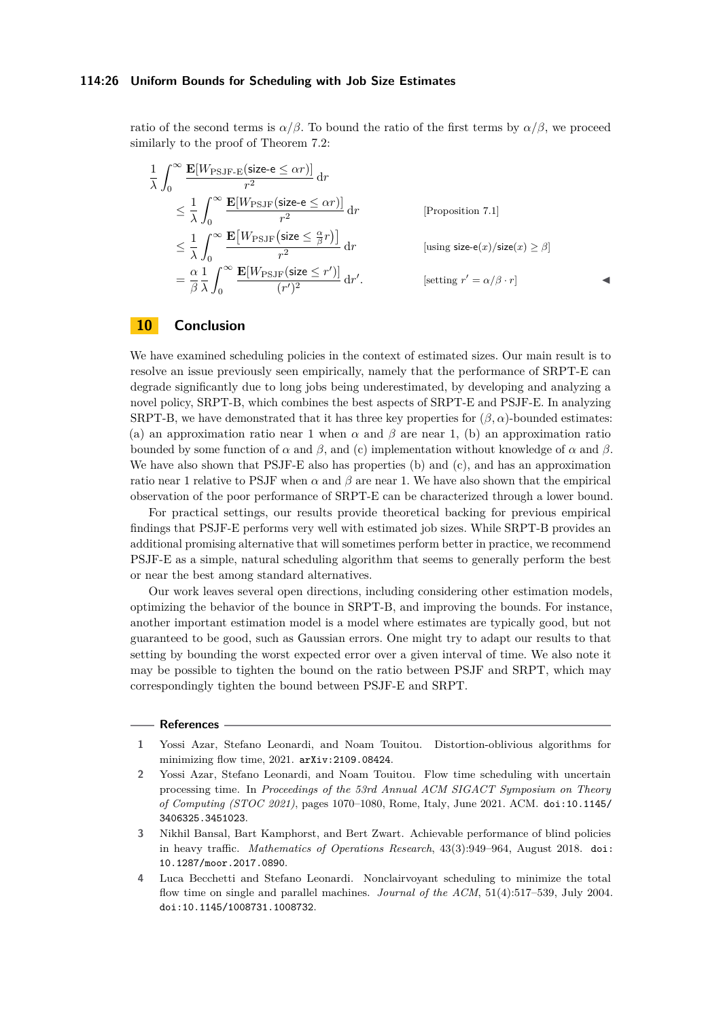ratio of the second terms is  $\alpha/\beta$ . To bound the ratio of the first terms by  $\alpha/\beta$ , we proceed similarly to the proof of Theorem [7.2:](#page-17-0)

$$
\frac{1}{\lambda} \int_0^\infty \frac{\mathbf{E}[W_{\text{PSJF-E}}(\text{size-e} \le \alpha r)]}{r^2} dr
$$
\n
$$
\le \frac{1}{\lambda} \int_0^\infty \frac{\mathbf{E}[W_{\text{PSJF}}(\text{size-e} \le \alpha r)]}{r^2} dr \qquad \text{[Proposition 7.1]}
$$
\n
$$
\le \frac{1}{\lambda} \int_0^\infty \frac{\mathbf{E}[W_{\text{PSJF}}(\text{size} \le \frac{\alpha}{\beta} r)]}{r^2} dr \qquad \text{[using size-e}(x)/\text{size}(x) \ge \beta]
$$
\n
$$
= \frac{\alpha}{\beta} \frac{1}{\lambda} \int_0^\infty \frac{\mathbf{E}[W_{\text{PSJF}}(\text{size} \le r')]}{(r')^2} dr \qquad \text{[setting } r' = \alpha/\beta \cdot r]
$$

# **10 Conclusion**

We have examined scheduling policies in the context of estimated sizes. Our main result is to resolve an issue previously seen empirically, namely that the performance of SRPT-E can degrade significantly due to long jobs being underestimated, by developing and analyzing a novel policy, SRPT-B, which combines the best aspects of SRPT-E and PSJF-E. In analyzing SRPT-B, we have demonstrated that it has three key properties for  $(\beta, \alpha)$ -bounded estimates: (a) an approximation ratio near 1 when  $\alpha$  and  $\beta$  are near 1, (b) an approximation ratio bounded by some function of *α* and *β*, and (c) implementation without knowledge of *α* and *β*. We have also shown that PSJF-E also has properties (b) and (c), and has an approximation ratio near 1 relative to PSJF when  $\alpha$  and  $\beta$  are near 1. We have also shown that the empirical observation of the poor performance of SRPT-E can be characterized through a lower bound.

For practical settings, our results provide theoretical backing for previous empirical findings that PSJF-E performs very well with estimated job sizes. While SRPT-B provides an additional promising alternative that will sometimes perform better in practice, we recommend PSJF-E as a simple, natural scheduling algorithm that seems to generally perform the best or near the best among standard alternatives.

Our work leaves several open directions, including considering other estimation models, optimizing the behavior of the bounce in SRPT-B, and improving the bounds. For instance, another important estimation model is a model where estimates are typically good, but not guaranteed to be good, such as Gaussian errors. One might try to adapt our results to that setting by bounding the worst expected error over a given interval of time. We also note it may be possible to tighten the bound on the ratio between PSJF and SRPT, which may correspondingly tighten the bound between PSJF-E and SRPT.

#### **References**

- <span id="page-25-1"></span>**1** Yossi Azar, Stefano Leonardi, and Noam Touitou. Distortion-oblivious algorithms for minimizing flow time, 2021. [arXiv:2109.08424](http://arxiv.org/abs/2109.08424).
- <span id="page-25-0"></span>**2** Yossi Azar, Stefano Leonardi, and Noam Touitou. Flow time scheduling with uncertain processing time. In *Proceedings of the 53rd Annual ACM SIGACT Symposium on Theory of Computing (STOC 2021)*, pages 1070–1080, Rome, Italy, June 2021. ACM. [doi:10.1145/](https://doi.org/10.1145/3406325.3451023) [3406325.3451023](https://doi.org/10.1145/3406325.3451023).
- <span id="page-25-3"></span>**3** Nikhil Bansal, Bart Kamphorst, and Bert Zwart. Achievable performance of blind policies in heavy traffic. *Mathematics of Operations Research*, 43(3):949–964, August 2018. [doi:](https://doi.org/10.1287/moor.2017.0890) [10.1287/moor.2017.0890](https://doi.org/10.1287/moor.2017.0890).
- <span id="page-25-2"></span>**4** Luca Becchetti and Stefano Leonardi. Nonclairvoyant scheduling to minimize the total flow time on single and parallel machines. *Journal of the ACM*, 51(4):517–539, July 2004. [doi:10.1145/1008731.1008732](https://doi.org/10.1145/1008731.1008732).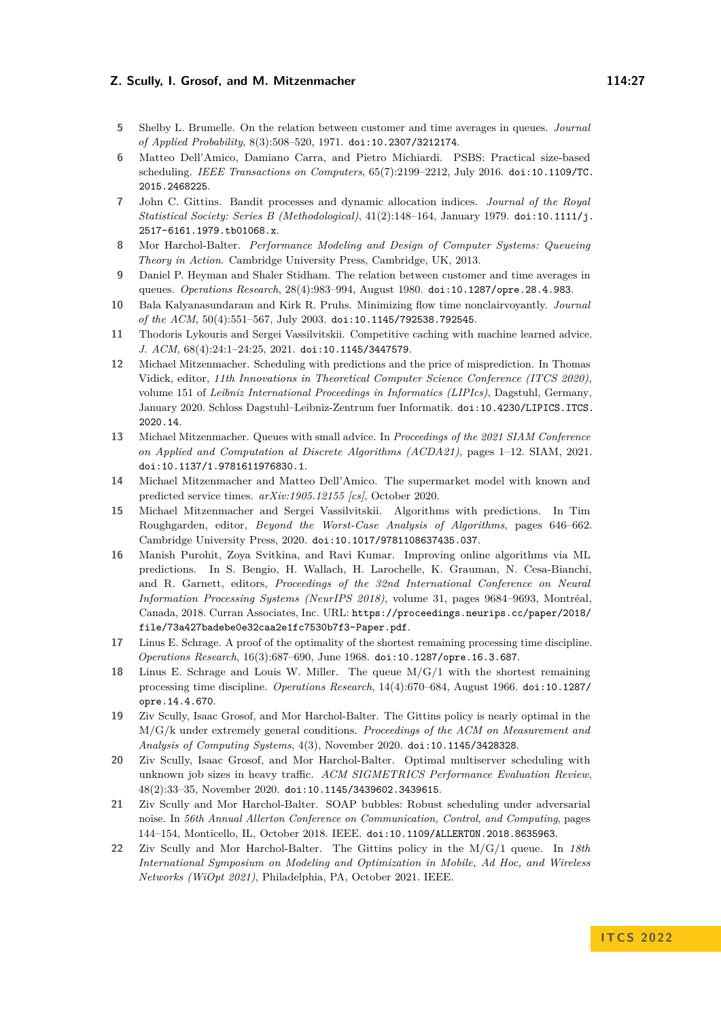- <span id="page-26-13"></span>**5** Shelby L. Brumelle. On the relation between customer and time averages in queues. *Journal of Applied Probability*, 8(3):508–520, 1971. [doi:10.2307/3212174](https://doi.org/10.2307/3212174).
- <span id="page-26-3"></span>**6** Matteo Dell'Amico, Damiano Carra, and Pietro Michiardi. PSBS: Practical size-based scheduling. *IEEE Transactions on Computers*, 65(7):2199–2212, July 2016. [doi:10.1109/TC.](https://doi.org/10.1109/TC.2015.2468225) [2015.2468225](https://doi.org/10.1109/TC.2015.2468225).
- <span id="page-26-8"></span>**7** John C. Gittins. Bandit processes and dynamic allocation indices. *Journal of the Royal Statistical Society: Series B (Methodological)*, 41(2):148–164, January 1979. [doi:10.1111/j.](https://doi.org/10.1111/j.2517-6161.1979.tb01068.x) [2517-6161.1979.tb01068.x](https://doi.org/10.1111/j.2517-6161.1979.tb01068.x).
- <span id="page-26-2"></span>**8** Mor Harchol-Balter. *Performance Modeling and Design of Computer Systems: Queueing Theory in Action*. Cambridge University Press, Cambridge, UK, 2013.
- <span id="page-26-14"></span>**9** Daniel P. Heyman and Shaler Stidham. The relation between customer and time averages in queues. *Operations Research*, 28(4):983–994, August 1980. [doi:10.1287/opre.28.4.983](https://doi.org/10.1287/opre.28.4.983).
- <span id="page-26-15"></span>**10** Bala Kalyanasundaram and Kirk R. Pruhs. Minimizing flow time nonclairvoyantly. *Journal of the ACM*, 50(4):551–567, July 2003. [doi:10.1145/792538.792545](https://doi.org/10.1145/792538.792545).
- <span id="page-26-0"></span>**11** Thodoris Lykouris and Sergei Vassilvitskii. Competitive caching with machine learned advice. *J. ACM*, 68(4):24:1–24:25, 2021. [doi:10.1145/3447579](https://doi.org/10.1145/3447579).
- <span id="page-26-5"></span>**12** Michael Mitzenmacher. Scheduling with predictions and the price of misprediction. In Thomas Vidick, editor, *11th Innovations in Theoretical Computer Science Conference (ITCS 2020)*, volume 151 of *Leibniz International Proceedings in Informatics (LIPIcs)*, Dagstuhl, Germany, January 2020. Schloss Dagstuhl–Leibniz-Zentrum fuer Informatik. [doi:10.4230/LIPICS.ITCS.](https://doi.org/10.4230/LIPICS.ITCS.2020.14) [2020.14](https://doi.org/10.4230/LIPICS.ITCS.2020.14).
- <span id="page-26-6"></span>**13** Michael Mitzenmacher. Queues with small advice. In *Proceedings of the 2021 SIAM Conference on Applied and Computation al Discrete Algorithms (ACDA21)*, pages 1–12. SIAM, 2021. [doi:10.1137/1.9781611976830.1](https://doi.org/10.1137/1.9781611976830.1).
- <span id="page-26-4"></span>**14** Michael Mitzenmacher and Matteo Dell'Amico. The supermarket model with known and predicted service times. *arXiv:1905.12155 [cs]*, October 2020.
- <span id="page-26-1"></span>**15** Michael Mitzenmacher and Sergei Vassilvitskii. Algorithms with predictions. In Tim Roughgarden, editor, *Beyond the Worst-Case Analysis of Algorithms*, pages 646–662. Cambridge University Press, 2020. [doi:10.1017/9781108637435.037](https://doi.org/10.1017/9781108637435.037).
- <span id="page-26-7"></span>**16** Manish Purohit, Zoya Svitkina, and Ravi Kumar. Improving online algorithms via ML predictions. In S. Bengio, H. Wallach, H. Larochelle, K. Grauman, N. Cesa-Bianchi, and R. Garnett, editors, *Proceedings of the 32nd International Conference on Neural Information Processing Systems (NeurIPS 2018)*, volume 31, pages 9684–9693, Montréal, Canada, 2018. Curran Associates, Inc. URL: [https://proceedings.neurips.cc/paper/2018/](https://proceedings.neurips.cc/paper/2018/file/73a427badebe0e32caa2e1fc7530b7f3-Paper.pdf) [file/73a427badebe0e32caa2e1fc7530b7f3-Paper.pdf](https://proceedings.neurips.cc/paper/2018/file/73a427badebe0e32caa2e1fc7530b7f3-Paper.pdf).
- <span id="page-26-9"></span>**17** Linus E. Schrage. A proof of the optimality of the shortest remaining processing time discipline. *Operations Research*, 16(3):687–690, June 1968. [doi:10.1287/opre.16.3.687](https://doi.org/10.1287/opre.16.3.687).
- <span id="page-26-11"></span>**18** Linus E. Schrage and Louis W. Miller. The queue M/G/1 with the shortest remaining processing time discipline. *Operations Research*, 14(4):670–684, August 1966. [doi:10.1287/](https://doi.org/10.1287/opre.14.4.670) [opre.14.4.670](https://doi.org/10.1287/opre.14.4.670).
- <span id="page-26-10"></span>**19** Ziv Scully, Isaac Grosof, and Mor Harchol-Balter. The Gittins policy is nearly optimal in the M/G/k under extremely general conditions. *Proceedings of the ACM on Measurement and Analysis of Computing Systems*, 4(3), November 2020. [doi:10.1145/3428328](https://doi.org/10.1145/3428328).
- <span id="page-26-16"></span>**20** Ziv Scully, Isaac Grosof, and Mor Harchol-Balter. Optimal multiserver scheduling with unknown job sizes in heavy traffic. *ACM SIGMETRICS Performance Evaluation Review*, 48(2):33–35, November 2020. [doi:10.1145/3439602.3439615](https://doi.org/10.1145/3439602.3439615).
- <span id="page-26-17"></span>**21** Ziv Scully and Mor Harchol-Balter. SOAP bubbles: Robust scheduling under adversarial noise. In *56th Annual Allerton Conference on Communication, Control, and Computing*, pages 144–154, Monticello, IL, October 2018. IEEE. [doi:10.1109/ALLERTON.2018.8635963](https://doi.org/10.1109/ALLERTON.2018.8635963).
- <span id="page-26-12"></span>**22** Ziv Scully and Mor Harchol-Balter. The Gittins policy in the M/G/1 queue. In *18th International Symposium on Modeling and Optimization in Mobile, Ad Hoc, and Wireless Networks (WiOpt 2021)*, Philadelphia, PA, October 2021. IEEE.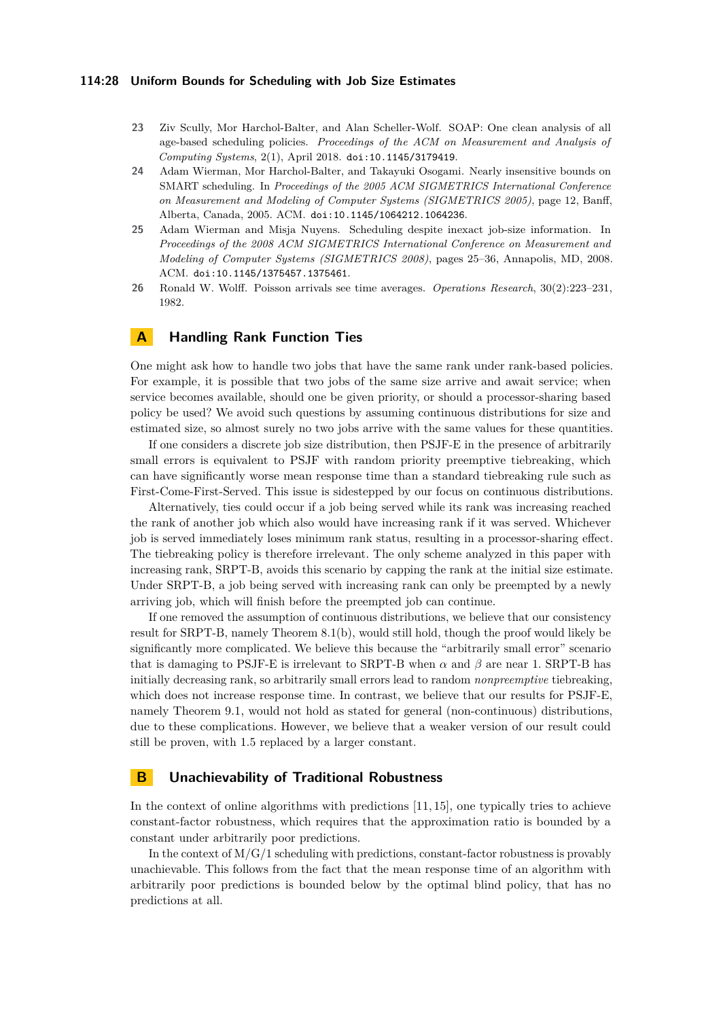### **114:28 Uniform Bounds for Scheduling with Job Size Estimates**

- <span id="page-27-4"></span>**23** Ziv Scully, Mor Harchol-Balter, and Alan Scheller-Wolf. SOAP: One clean analysis of all age-based scheduling policies. *Proceedings of the ACM on Measurement and Analysis of Computing Systems*, 2(1), April 2018. [doi:10.1145/3179419](https://doi.org/10.1145/3179419).
- <span id="page-27-3"></span>**24** Adam Wierman, Mor Harchol-Balter, and Takayuki Osogami. Nearly insensitive bounds on SMART scheduling. In *Proceedings of the 2005 ACM SIGMETRICS International Conference on Measurement and Modeling of Computer Systems (SIGMETRICS 2005)*, page 12, Banff, Alberta, Canada, 2005. ACM. [doi:10.1145/1064212.1064236](https://doi.org/10.1145/1064212.1064236).
- <span id="page-27-1"></span>**25** Adam Wierman and Misja Nuyens. Scheduling despite inexact job-size information. In *Proceedings of the 2008 ACM SIGMETRICS International Conference on Measurement and Modeling of Computer Systems (SIGMETRICS 2008)*, pages 25–36, Annapolis, MD, 2008. ACM. [doi:10.1145/1375457.1375461](https://doi.org/10.1145/1375457.1375461).
- <span id="page-27-5"></span>**26** Ronald W. Wolff. Poisson arrivals see time averages. *Operations Research*, 30(2):223–231, 1982.

# <span id="page-27-2"></span>**A Handling Rank Function Ties**

One might ask how to handle two jobs that have the same rank under rank-based policies. For example, it is possible that two jobs of the same size arrive and await service; when service becomes available, should one be given priority, or should a processor-sharing based policy be used? We avoid such questions by assuming continuous distributions for size and estimated size, so almost surely no two jobs arrive with the same values for these quantities.

If one considers a discrete job size distribution, then PSJF-E in the presence of arbitrarily small errors is equivalent to PSJF with random priority preemptive tiebreaking, which can have significantly worse mean response time than a standard tiebreaking rule such as First-Come-First-Served. This issue is sidestepped by our focus on continuous distributions.

Alternatively, ties could occur if a job being served while its rank was increasing reached the rank of another job which also would have increasing rank if it was served. Whichever job is served immediately loses minimum rank status, resulting in a processor-sharing effect. The tiebreaking policy is therefore irrelevant. The only scheme analyzed in this paper with increasing rank, SRPT-B, avoids this scenario by capping the rank at the initial size estimate. Under SRPT-B, a job being served with increasing rank can only be preempted by a newly arriving job, which will finish before the preempted job can continue.

If one removed the assumption of continuous distributions, we believe that our consistency result for SRPT-B, namely Theorem [8.1\(](#page-15-0)b), would still hold, though the proof would likely be significantly more complicated. We believe this because the "arbitrarily small error" scenario that is damaging to PSJF-E is irrelevant to SRPT-B when  $\alpha$  and  $\beta$  are near 1. SRPT-B has initially decreasing rank, so arbitrarily small errors lead to random *nonpreemptive* tiebreaking, which does not increase response time. In contrast, we believe that our results for PSJF-E, namely Theorem [9.1,](#page-15-0) would not hold as stated for general (non-continuous) distributions, due to these complications. However, we believe that a weaker version of our result could still be proven, with 1*.*5 replaced by a larger constant.

# <span id="page-27-0"></span>**B Unachievability of Traditional Robustness**

In the context of online algorithms with predictions [\[11,](#page-26-0) [15\]](#page-26-1), one typically tries to achieve constant-factor robustness, which requires that the approximation ratio is bounded by a constant under arbitrarily poor predictions.

In the context of  $M/G/1$  scheduling with predictions, constant-factor robustness is provably unachievable. This follows from the fact that the mean response time of an algorithm with arbitrarily poor predictions is bounded below by the optimal blind policy, that has no predictions at all.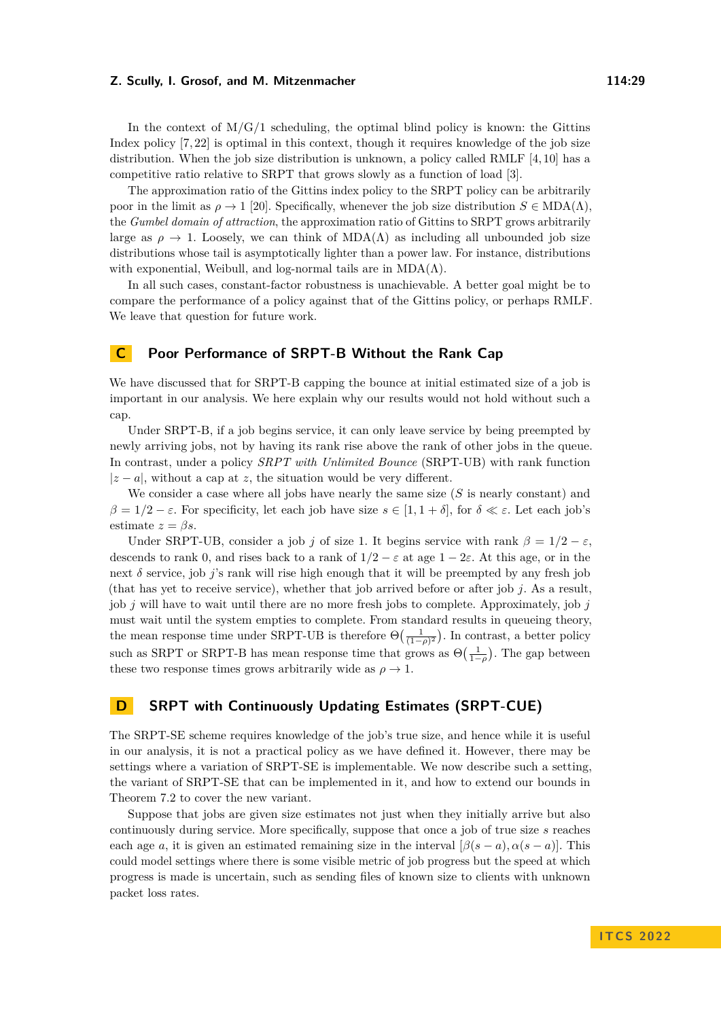In the context of  $M/G/1$  scheduling, the optimal blind policy is known: the Gittins Index policy [\[7,](#page-26-8) [22\]](#page-26-12) is optimal in this context, though it requires knowledge of the job size distribution. When the job size distribution is unknown, a policy called RMLF [\[4,](#page-25-2) [10\]](#page-26-15) has a competitive ratio relative to SRPT that grows slowly as a function of load [\[3\]](#page-25-3).

The approximation ratio of the Gittins index policy to the SRPT policy can be arbitrarily poor in the limit as  $\rho \to 1$  [\[20\]](#page-26-16). Specifically, whenever the job size distribution  $S \in MDA(\Lambda)$ . the *Gumbel domain of attraction*, the approximation ratio of Gittins to SRPT grows arbitrarily large as  $\rho \to 1$ . Loosely, we can think of MDA( $\Lambda$ ) as including all unbounded job size distributions whose tail is asymptotically lighter than a power law. For instance, distributions with exponential, Weibull, and log-normal tails are in  $MDA(\Lambda)$ .

In all such cases, constant-factor robustness is unachievable. A better goal might be to compare the performance of a policy against that of the Gittins policy, or perhaps RMLF. We leave that question for future work.

## <span id="page-28-1"></span>**C Poor Performance of SRPT-B Without the Rank Cap**

We have discussed that for SRPT-B capping the bounce at initial estimated size of a job is important in our analysis. We here explain why our results would not hold without such a cap.

Under SRPT-B, if a job begins service, it can only leave service by being preempted by newly arriving jobs, not by having its rank rise above the rank of other jobs in the queue. In contrast, under a policy *SRPT with Unlimited Bounce* (SRPT-UB) with rank function  $|z - a|$ , without a cap at *z*, the situation would be very different.

We consider a case where all jobs have nearly the same size (*S* is nearly constant) and *β* = 1/2 − *ε*. For specificity, let each job have size *s* ∈ [1, 1 + *δ*], for *δ* ≪ *ε*. Let each job's estimate  $z = \beta s$ .

Under SRPT-UB, consider a job *j* of size 1. It begins service with rank  $\beta = 1/2 - \varepsilon$ , descends to rank 0, and rises back to a rank of  $1/2 - \varepsilon$  at age  $1 - 2\varepsilon$ . At this age, or in the next *δ* service, job *j*'s rank will rise high enough that it will be preempted by any fresh job (that has yet to receive service), whether that job arrived before or after job *j*. As a result, job *j* will have to wait until there are no more fresh jobs to complete. Approximately, job *j* must wait until the system empties to complete. From standard results in queueing theory, the mean response time under SRPT-UB is therefore  $\Theta\left(\frac{1}{(1-\rho)^2}\right)$ . In contrast, a better policy such as SRPT or SRPT-B has mean response time that grows as  $\Theta\left(\frac{1}{1-\rho}\right)$ . The gap between these two response times grows arbitrarily wide as  $\rho \to 1$ .

# <span id="page-28-0"></span>**D SRPT with Continuously Updating Estimates (SRPT-CUE)**

The SRPT-SE scheme requires knowledge of the job's true size, and hence while it is useful in our analysis, it is not a practical policy as we have defined it. However, there may be settings where a variation of SRPT-SE is implementable. We now describe such a setting, the variant of SRPT-SE that can be implemented in it, and how to extend our bounds in Theorem [7.2](#page-17-0) to cover the new variant.

Suppose that jobs are given size estimates not just when they initially arrive but also continuously during service. More specifically, suppose that once a job of true size *s* reaches each age *a*, it is given an estimated remaining size in the interval  $[\beta(s-a), \alpha(s-a)]$ . This could model settings where there is some visible metric of job progress but the speed at which progress is made is uncertain, such as sending files of known size to clients with unknown packet loss rates.